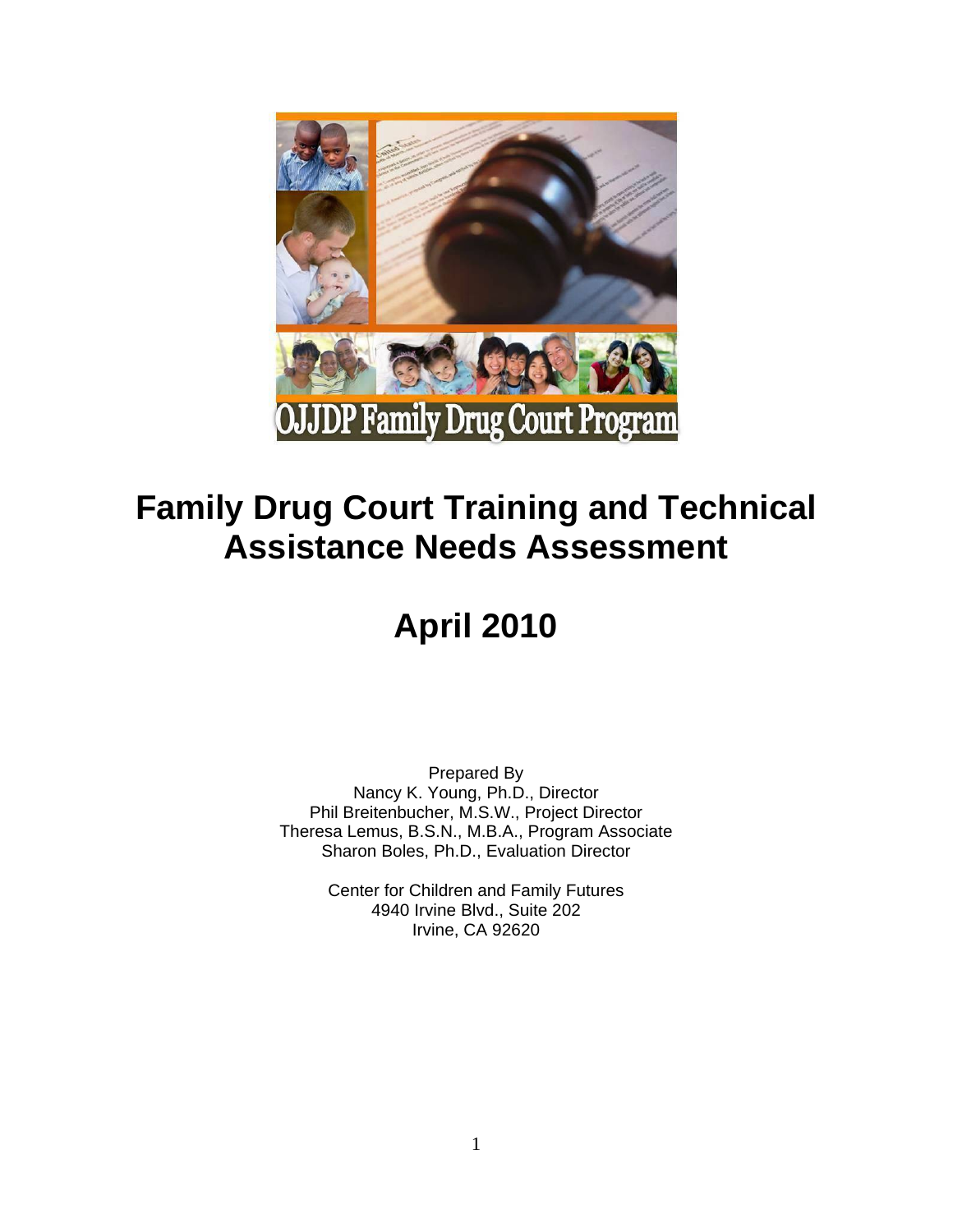

# **Family Drug Court Training and Technical Assistance Needs Assessment**

# **April 2010**

Prepared By Nancy K. Young, Ph.D., Director Phil Breitenbucher, M.S.W., Project Director Theresa Lemus, B.S.N., M.B.A., Program Associate Sharon Boles, Ph.D., Evaluation Director

> Center for Children and Family Futures 4940 Irvine Blvd., Suite 202 Irvine, CA 92620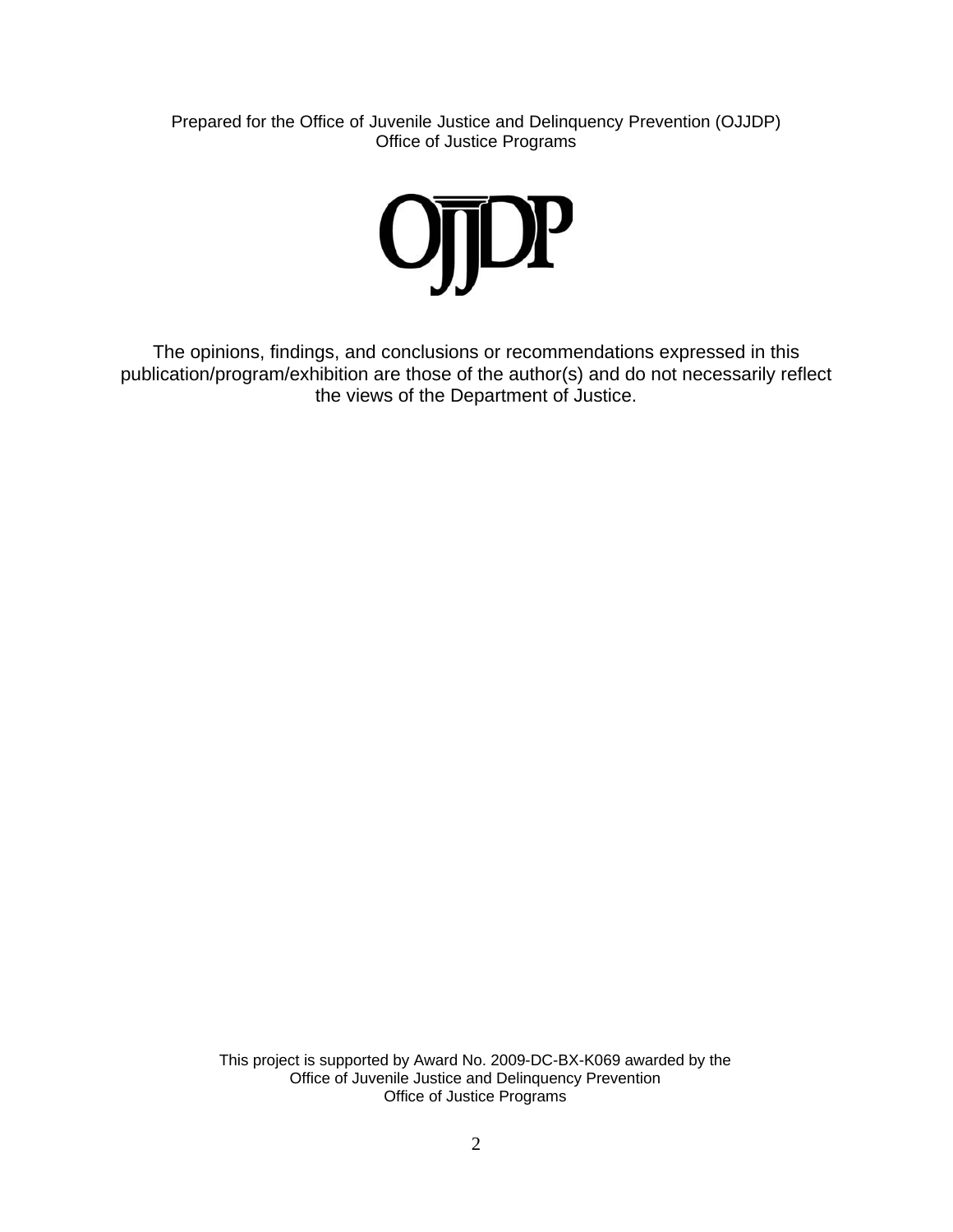Prepared for the Office of Juvenile Justice and Delinquency Prevention (OJJDP) Office of Justice Programs



The opinions, findings, and conclusions or recommendations expressed in this publication/program/exhibition are those of the author(s) and do not necessarily reflect the views of the Department of Justice.

> This project is supported by Award No. 2009-DC-BX-K069 awarded by the Office of Juvenile Justice and Delinquency Prevention Office of Justice Programs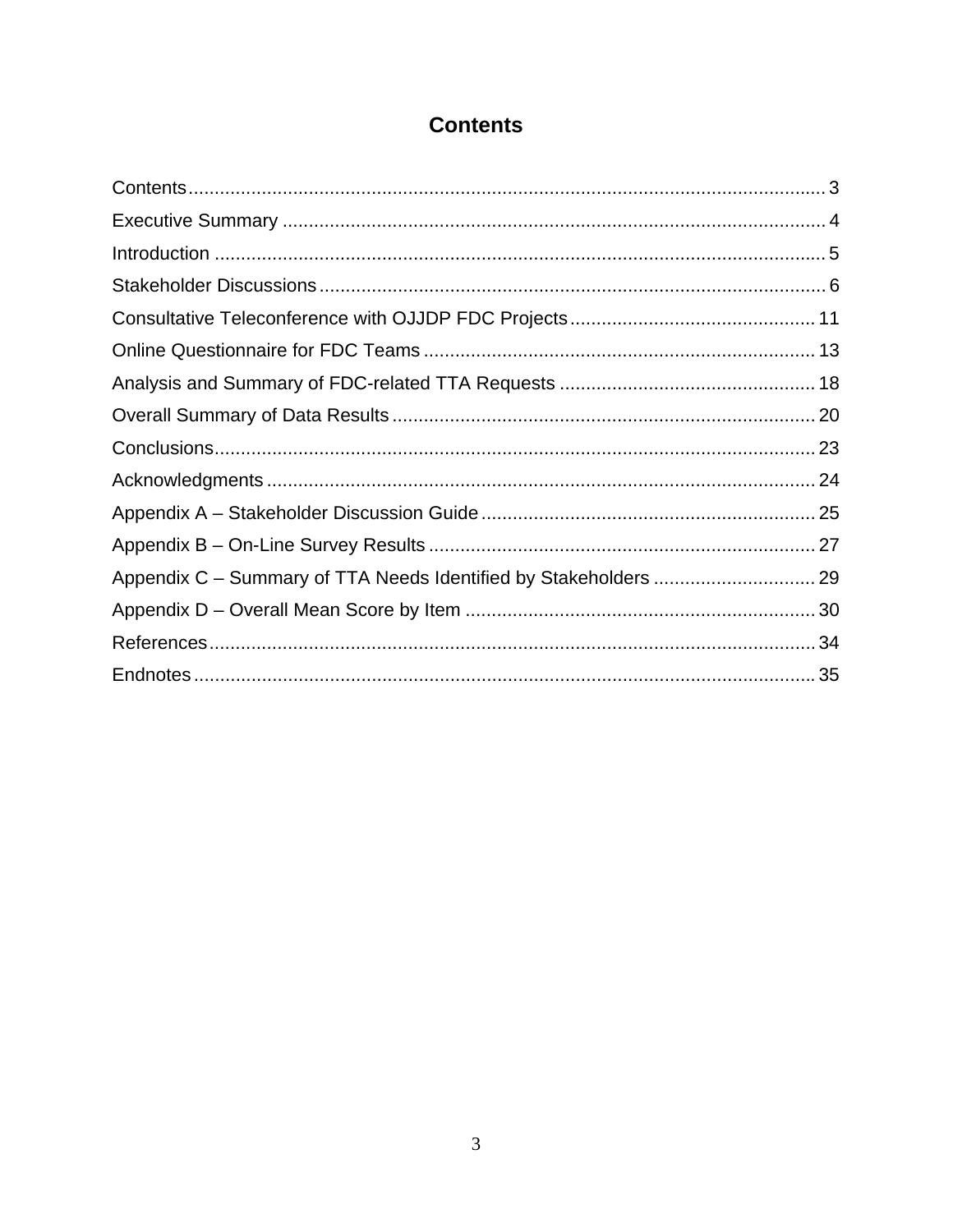### **Contents**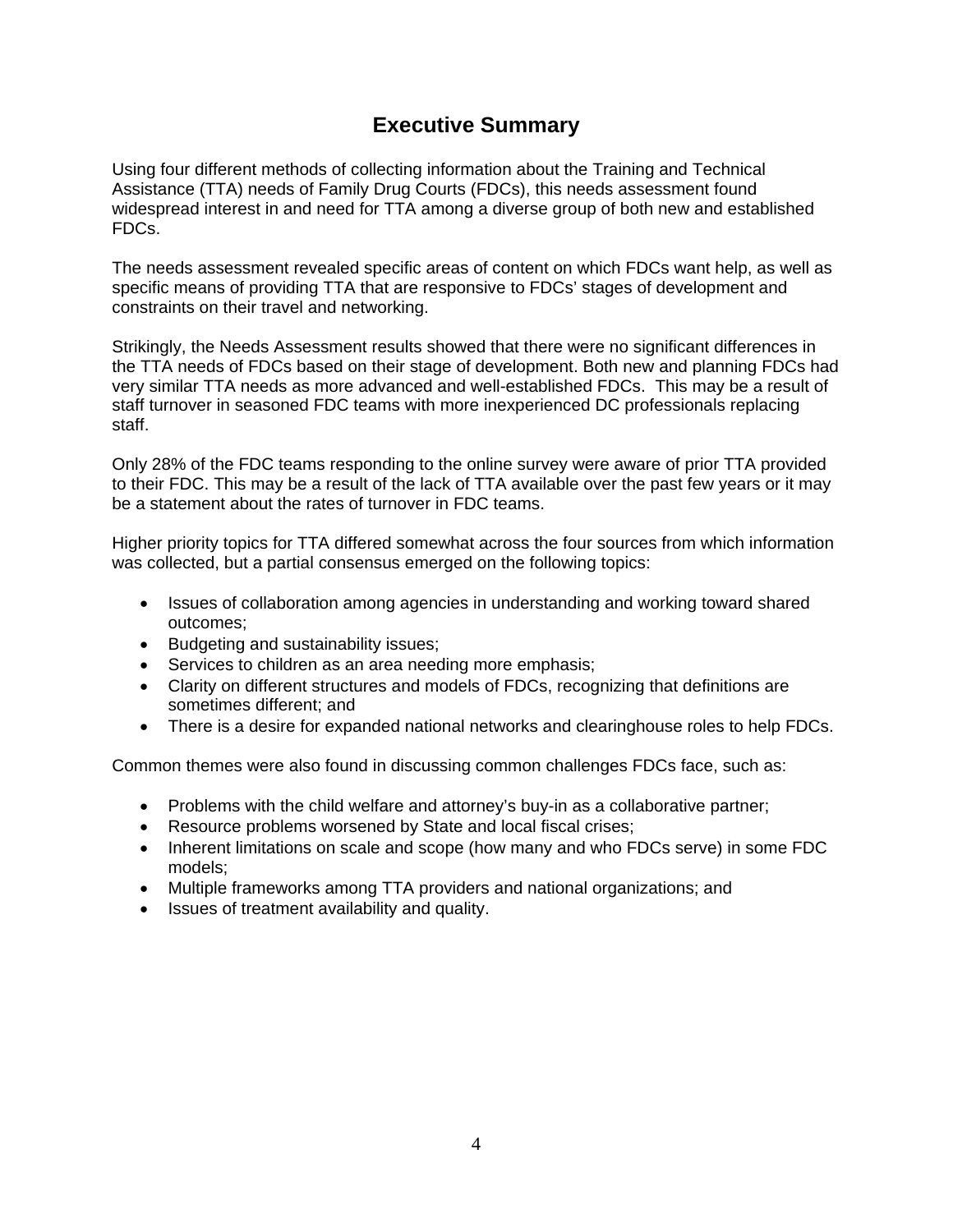### **Executive Summary**

Using four different methods of collecting information about the Training and Technical Assistance (TTA) needs of Family Drug Courts (FDCs), this needs assessment found widespread interest in and need for TTA among a diverse group of both new and established FDCs.

The needs assessment revealed specific areas of content on which FDCs want help, as well as specific means of providing TTA that are responsive to FDCs' stages of development and constraints on their travel and networking.

Strikingly, the Needs Assessment results showed that there were no significant differences in the TTA needs of FDCs based on their stage of development. Both new and planning FDCs had very similar TTA needs as more advanced and well-established FDCs. This may be a result of staff turnover in seasoned FDC teams with more inexperienced DC professionals replacing staff.

Only 28% of the FDC teams responding to the online survey were aware of prior TTA provided to their FDC. This may be a result of the lack of TTA available over the past few years or it may be a statement about the rates of turnover in FDC teams.

Higher priority topics for TTA differed somewhat across the four sources from which information was collected, but a partial consensus emerged on the following topics:

- Issues of collaboration among agencies in understanding and working toward shared outcomes;
- Budgeting and sustainability issues;
- Services to children as an area needing more emphasis;
- Clarity on different structures and models of FDCs, recognizing that definitions are sometimes different; and
- There is a desire for expanded national networks and clearinghouse roles to help FDCs.

Common themes were also found in discussing common challenges FDCs face, such as:

- Problems with the child welfare and attorney's buy-in as a collaborative partner;
- Resource problems worsened by State and local fiscal crises;
- Inherent limitations on scale and scope (how many and who FDCs serve) in some FDC models;
- Multiple frameworks among TTA providers and national organizations; and
- Issues of treatment availability and quality.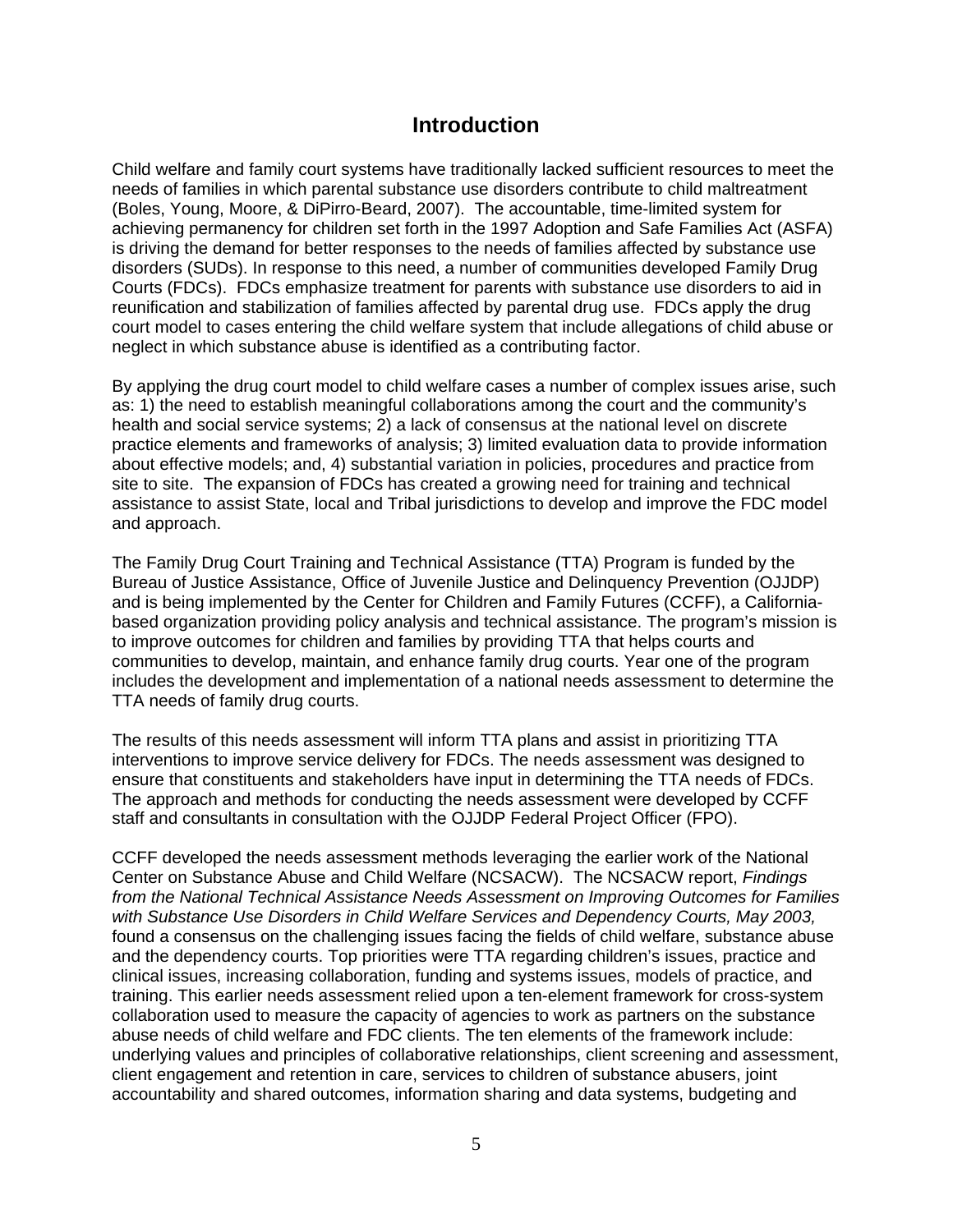### **Introduction**

Child welfare and family court systems have traditionally lacked sufficient resources to meet the needs of families in which parental substance use disorders contribute to child maltreatment (Boles, Young, Moore, & DiPirro-Beard, 2007). The accountable, time-limited system for achieving permanency for children set forth in the 1997 Adoption and Safe Families Act (ASFA) is driving the demand for better responses to the needs of families affected by substance use disorders (SUDs). In response to this need, a number of communities developed Family Drug Courts (FDCs). FDCs emphasize treatment for parents with substance use disorders to aid in reunification and stabilization of families affected by parental drug use. FDCs apply the drug court model to cases entering the child welfare system that include allegations of child abuse or neglect in which substance abuse is identified as a contributing factor.

By applying the drug court model to child welfare cases a number of complex issues arise, such as: 1) the need to establish meaningful collaborations among the court and the community's health and social service systems; 2) a lack of consensus at the national level on discrete practice elements and frameworks of analysis; 3) limited evaluation data to provide information about effective models; and, 4) substantial variation in policies, procedures and practice from site to site. The expansion of FDCs has created a growing need for training and technical assistance to assist State, local and Tribal jurisdictions to develop and improve the FDC model and approach.

The Family Drug Court Training and Technical Assistance (TTA) Program is funded by the Bureau of Justice Assistance, Office of Juvenile Justice and Delinquency Prevention (OJJDP) and is being implemented by the Center for Children and Family Futures (CCFF), a Californiabased organization providing policy analysis and technical assistance. The program's mission is to improve outcomes for children and families by providing TTA that helps courts and communities to develop, maintain, and enhance family drug courts. Year one of the program includes the development and implementation of a national needs assessment to determine the TTA needs of family drug courts.

The results of this needs assessment will inform TTA plans and assist in prioritizing TTA interventions to improve service delivery for FDCs. The needs assessment was designed to ensure that constituents and stakeholders have input in determining the TTA needs of FDCs. The approach and methods for conducting the needs assessment were developed by CCFF staff and consultants in consultation with the OJJDP Federal Project Officer (FPO).

CCFF developed the needs assessment methods leveraging the earlier work of the National Center on Substance Abuse and Child Welfare (NCSACW). The NCSACW report, *Findings from the National Technical Assistance Needs Assessment on Improving Outcomes for Families with Substance Use Disorders in Child Welfare Services and Dependency Courts, May 2003,* found a consensus on the challenging issues facing the fields of child welfare, substance abuse and the dependency courts. Top priorities were TTA regarding children's issues, practice and clinical issues, increasing collaboration, funding and systems issues, models of practice, and training. This earlier needs assessment relied upon a ten-element framework for cross-system collaboration used to measure the capacity of agencies to work as partners on the substance abuse needs of child welfare and FDC clients. The ten elements of the framework include: underlying values and principles of collaborative relationships, client screening and assessment, client engagement and retention in care, services to children of substance abusers, joint accountability and shared outcomes, information sharing and data systems, budgeting and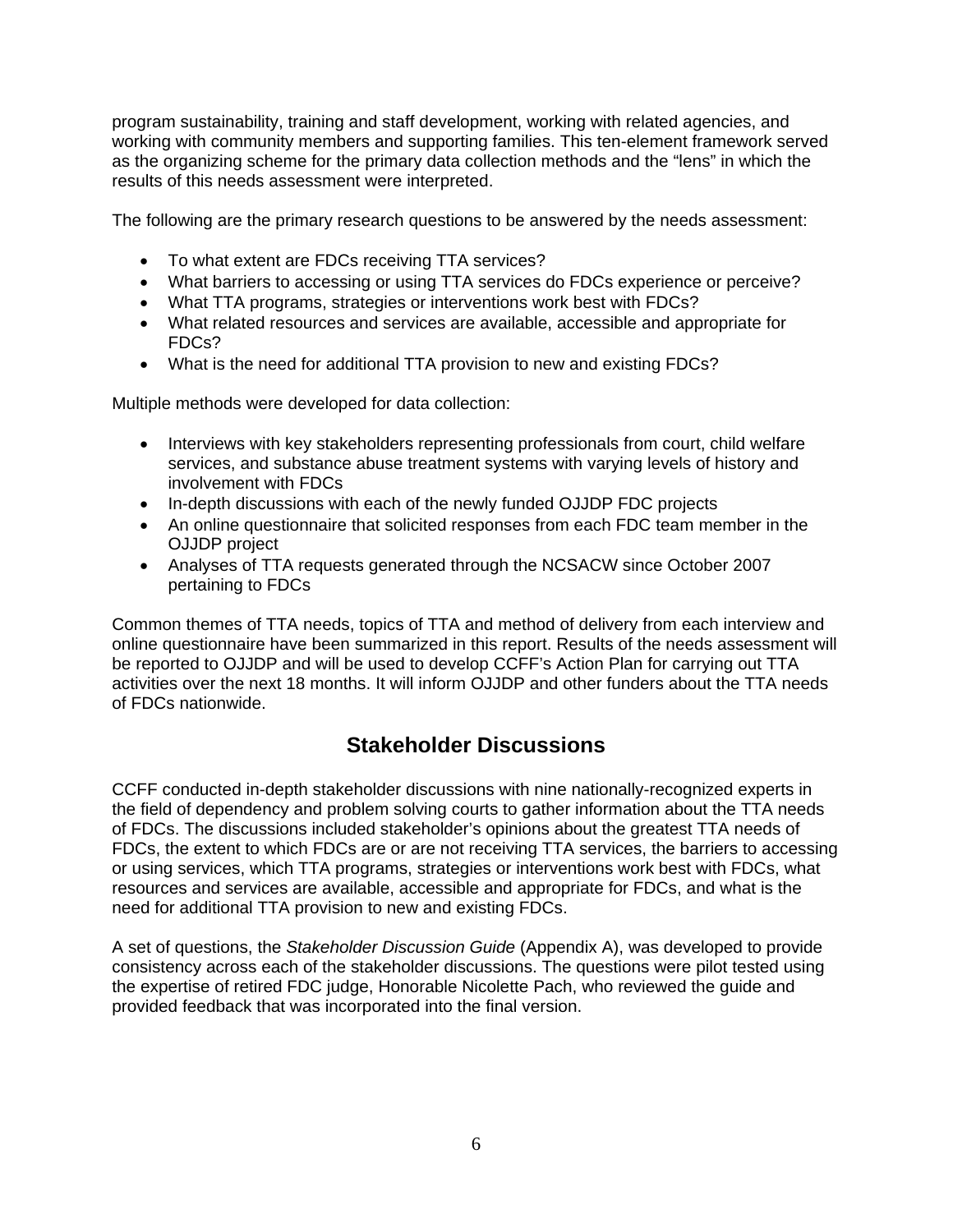program sustainability, training and staff development, working with related agencies, and working with community members and supporting families. This ten-element framework served as the organizing scheme for the primary data collection methods and the "lens" in which the results of this needs assessment were interpreted.

The following are the primary research questions to be answered by the needs assessment:

- To what extent are FDCs receiving TTA services?
- What barriers to accessing or using TTA services do FDCs experience or perceive?
- What TTA programs, strategies or interventions work best with FDCs?
- What related resources and services are available, accessible and appropriate for FDCs?
- What is the need for additional TTA provision to new and existing FDCs?

Multiple methods were developed for data collection:

- Interviews with key stakeholders representing professionals from court, child welfare services, and substance abuse treatment systems with varying levels of history and involvement with FDCs
- In-depth discussions with each of the newly funded OJJDP FDC projects
- An online questionnaire that solicited responses from each FDC team member in the OJJDP project
- Analyses of TTA requests generated through the NCSACW since October 2007 pertaining to FDCs

Common themes of TTA needs, topics of TTA and method of delivery from each interview and online questionnaire have been summarized in this report. Results of the needs assessment will be reported to OJJDP and will be used to develop CCFF's Action Plan for carrying out TTA activities over the next 18 months. It will inform OJJDP and other funders about the TTA needs of FDCs nationwide.

### **Stakeholder Discussions**

CCFF conducted in-depth stakeholder discussions with nine nationally-recognized experts in the field of dependency and problem solving courts to gather information about the TTA needs of FDCs. The discussions included stakeholder's opinions about the greatest TTA needs of FDCs, the extent to which FDCs are or are not receiving TTA services, the barriers to accessing or using services, which TTA programs, strategies or interventions work best with FDCs, what resources and services are available, accessible and appropriate for FDCs, and what is the need for additional TTA provision to new and existing FDCs.

A set of questions, the *Stakeholder Discussion Guide* (Appendix A), was developed to provide consistency across each of the stakeholder discussions. The questions were pilot tested using the expertise of retired FDC judge, Honorable Nicolette Pach, who reviewed the guide and provided feedback that was incorporated into the final version.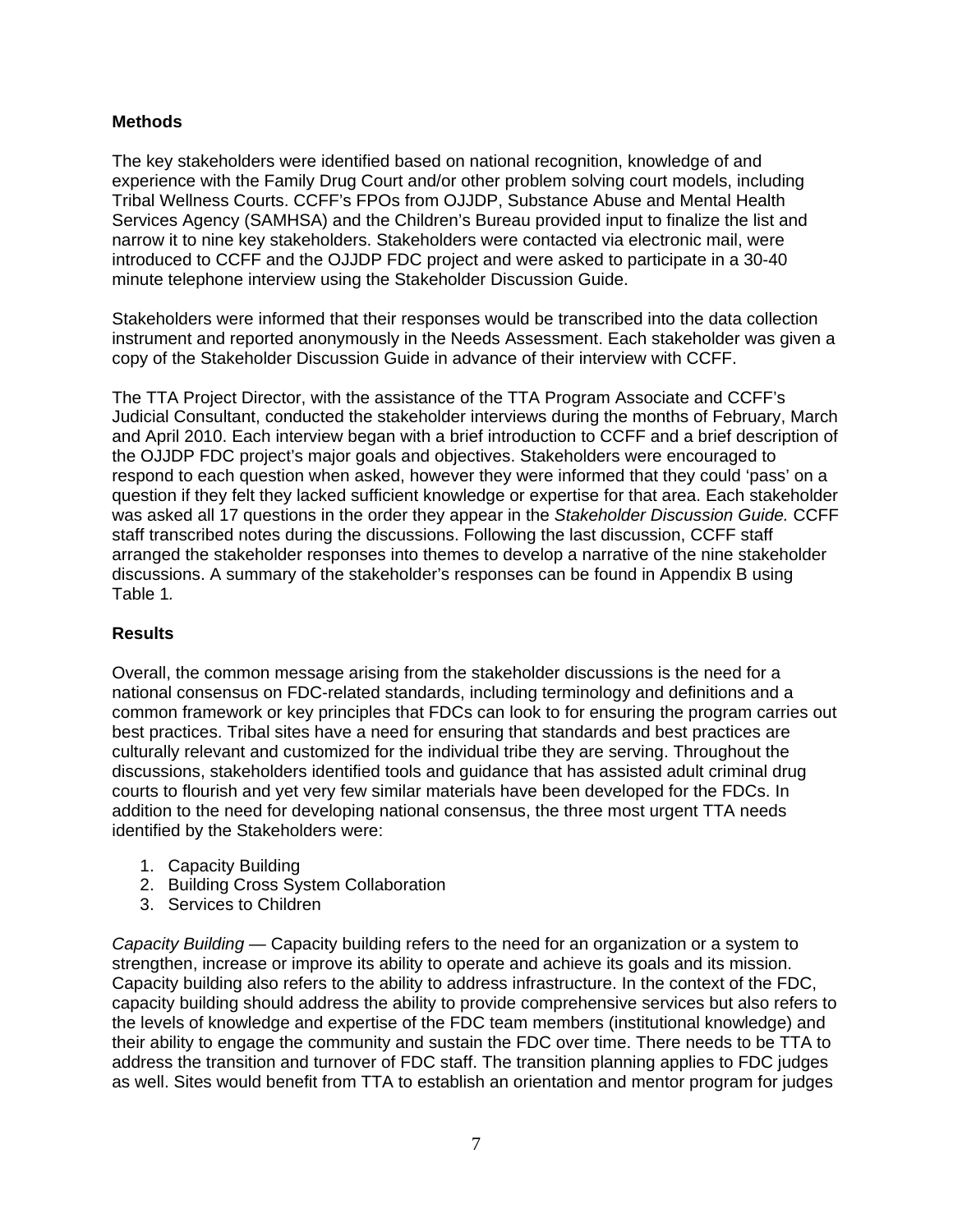### **Methods**

The key stakeholders were identified based on national recognition, knowledge of and experience with the Family Drug Court and/or other problem solving court models, including Tribal Wellness Courts. CCFF's FPOs from OJJDP, Substance Abuse and Mental Health Services Agency (SAMHSA) and the Children's Bureau provided input to finalize the list and narrow it to nine key stakeholders. Stakeholders were contacted via electronic mail, were introduced to CCFF and the OJJDP FDC project and were asked to participate in a 30-40 minute telephone interview using the Stakeholder Discussion Guide.

Stakeholders were informed that their responses would be transcribed into the data collection instrument and reported anonymously in the Needs Assessment. Each stakeholder was given a copy of the Stakeholder Discussion Guide in advance of their interview with CCFF.

The TTA Project Director, with the assistance of the TTA Program Associate and CCFF's Judicial Consultant, conducted the stakeholder interviews during the months of February, March and April 2010. Each interview began with a brief introduction to CCFF and a brief description of the OJJDP FDC project's major goals and objectives. Stakeholders were encouraged to respond to each question when asked, however they were informed that they could 'pass' on a question if they felt they lacked sufficient knowledge or expertise for that area. Each stakeholder was asked all 17 questions in the order they appear in the *Stakeholder Discussion Guide.* CCFF staff transcribed notes during the discussions. Following the last discussion, CCFF staff arranged the stakeholder responses into themes to develop a narrative of the nine stakeholder discussions. A summary of the stakeholder's responses can be found in Appendix B using Table 1*.* 

### **Results**

Overall, the common message arising from the stakeholder discussions is the need for a national consensus on FDC-related standards, including terminology and definitions and a common framework or key principles that FDCs can look to for ensuring the program carries out best practices. Tribal sites have a need for ensuring that standards and best practices are culturally relevant and customized for the individual tribe they are serving. Throughout the discussions, stakeholders identified tools and guidance that has assisted adult criminal drug courts to flourish and yet very few similar materials have been developed for the FDCs. In addition to the need for developing national consensus, the three most urgent TTA needs identified by the Stakeholders were:

- 1. Capacity Building
- 2. Building Cross System Collaboration
- 3. Services to Children

*Capacity Building —* Capacity building refers to the need for an organization or a system to strengthen, increase or improve its ability to operate and achieve its goals and its mission. Capacity building also refers to the ability to address infrastructure. In the context of the FDC, capacity building should address the ability to provide comprehensive services but also refers to the levels of knowledge and expertise of the FDC team members (institutional knowledge) and their ability to engage the community and sustain the FDC over time. There needs to be TTA to address the transition and turnover of FDC staff. The transition planning applies to FDC judges as well. Sites would benefit from TTA to establish an orientation and mentor program for judges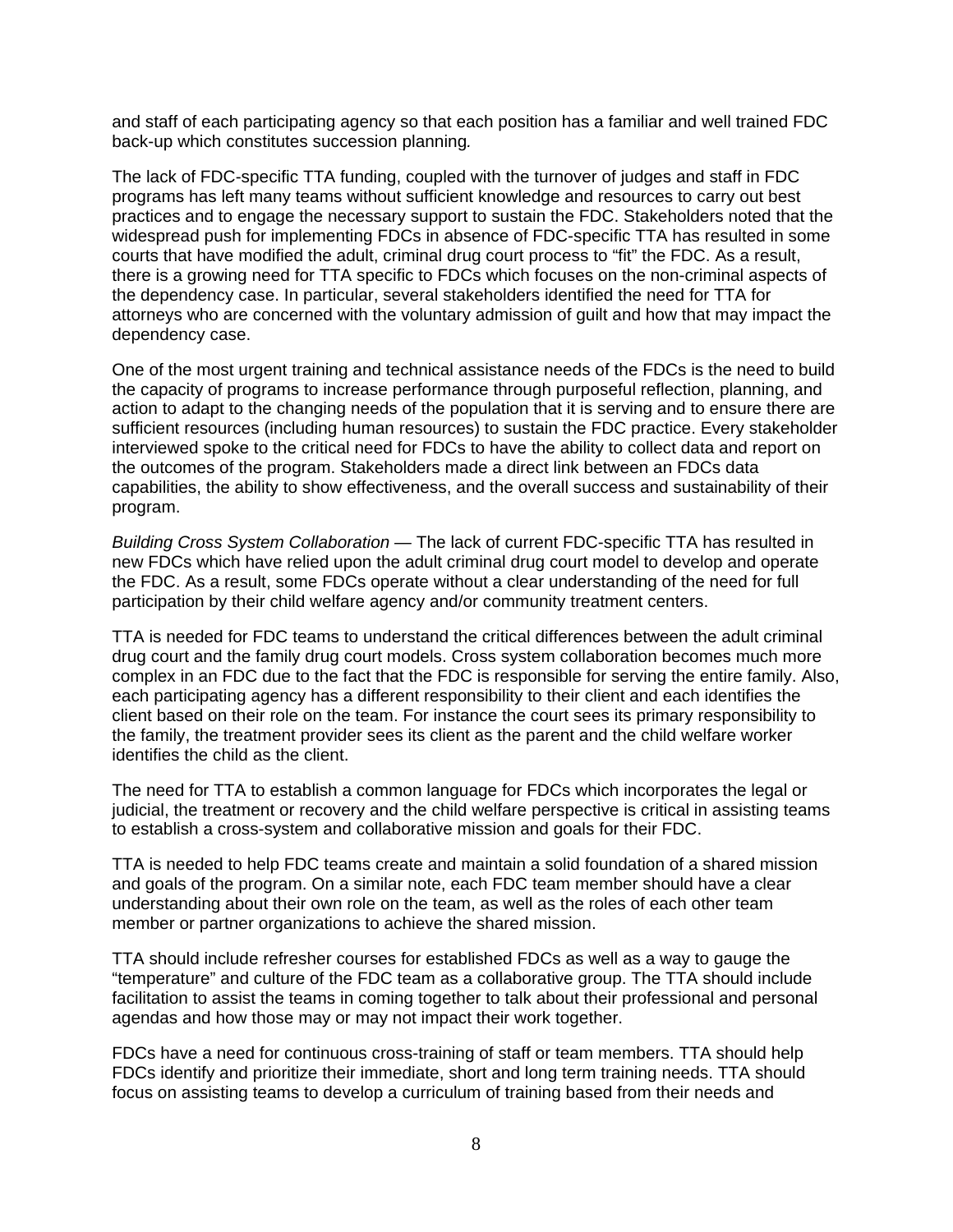and staff of each participating agency so that each position has a familiar and well trained FDC back-up which constitutes succession planning*.* 

The lack of FDC-specific TTA funding, coupled with the turnover of judges and staff in FDC programs has left many teams without sufficient knowledge and resources to carry out best practices and to engage the necessary support to sustain the FDC. Stakeholders noted that the widespread push for implementing FDCs in absence of FDC-specific TTA has resulted in some courts that have modified the adult, criminal drug court process to "fit" the FDC. As a result, there is a growing need for TTA specific to FDCs which focuses on the non-criminal aspects of the dependency case. In particular, several stakeholders identified the need for TTA for attorneys who are concerned with the voluntary admission of guilt and how that may impact the dependency case.

One of the most urgent training and technical assistance needs of the FDCs is the need to build the capacity of programs to increase performance through purposeful reflection, planning, and action to adapt to the changing needs of the population that it is serving and to ensure there are sufficient resources (including human resources) to sustain the FDC practice. Every stakeholder interviewed spoke to the critical need for FDCs to have the ability to collect data and report on the outcomes of the program. Stakeholders made a direct link between an FDCs data capabilities, the ability to show effectiveness, and the overall success and sustainability of their program.

*Building Cross System Collaboration —* The lack of current FDC-specific TTA has resulted in new FDCs which have relied upon the adult criminal drug court model to develop and operate the FDC. As a result, some FDCs operate without a clear understanding of the need for full participation by their child welfare agency and/or community treatment centers.

TTA is needed for FDC teams to understand the critical differences between the adult criminal drug court and the family drug court models. Cross system collaboration becomes much more complex in an FDC due to the fact that the FDC is responsible for serving the entire family. Also, each participating agency has a different responsibility to their client and each identifies the client based on their role on the team. For instance the court sees its primary responsibility to the family, the treatment provider sees its client as the parent and the child welfare worker identifies the child as the client.

The need for TTA to establish a common language for FDCs which incorporates the legal or judicial, the treatment or recovery and the child welfare perspective is critical in assisting teams to establish a cross-system and collaborative mission and goals for their FDC.

TTA is needed to help FDC teams create and maintain a solid foundation of a shared mission and goals of the program. On a similar note, each FDC team member should have a clear understanding about their own role on the team, as well as the roles of each other team member or partner organizations to achieve the shared mission.

TTA should include refresher courses for established FDCs as well as a way to gauge the "temperature" and culture of the FDC team as a collaborative group. The TTA should include facilitation to assist the teams in coming together to talk about their professional and personal agendas and how those may or may not impact their work together.

FDCs have a need for continuous cross-training of staff or team members. TTA should help FDCs identify and prioritize their immediate, short and long term training needs. TTA should focus on assisting teams to develop a curriculum of training based from their needs and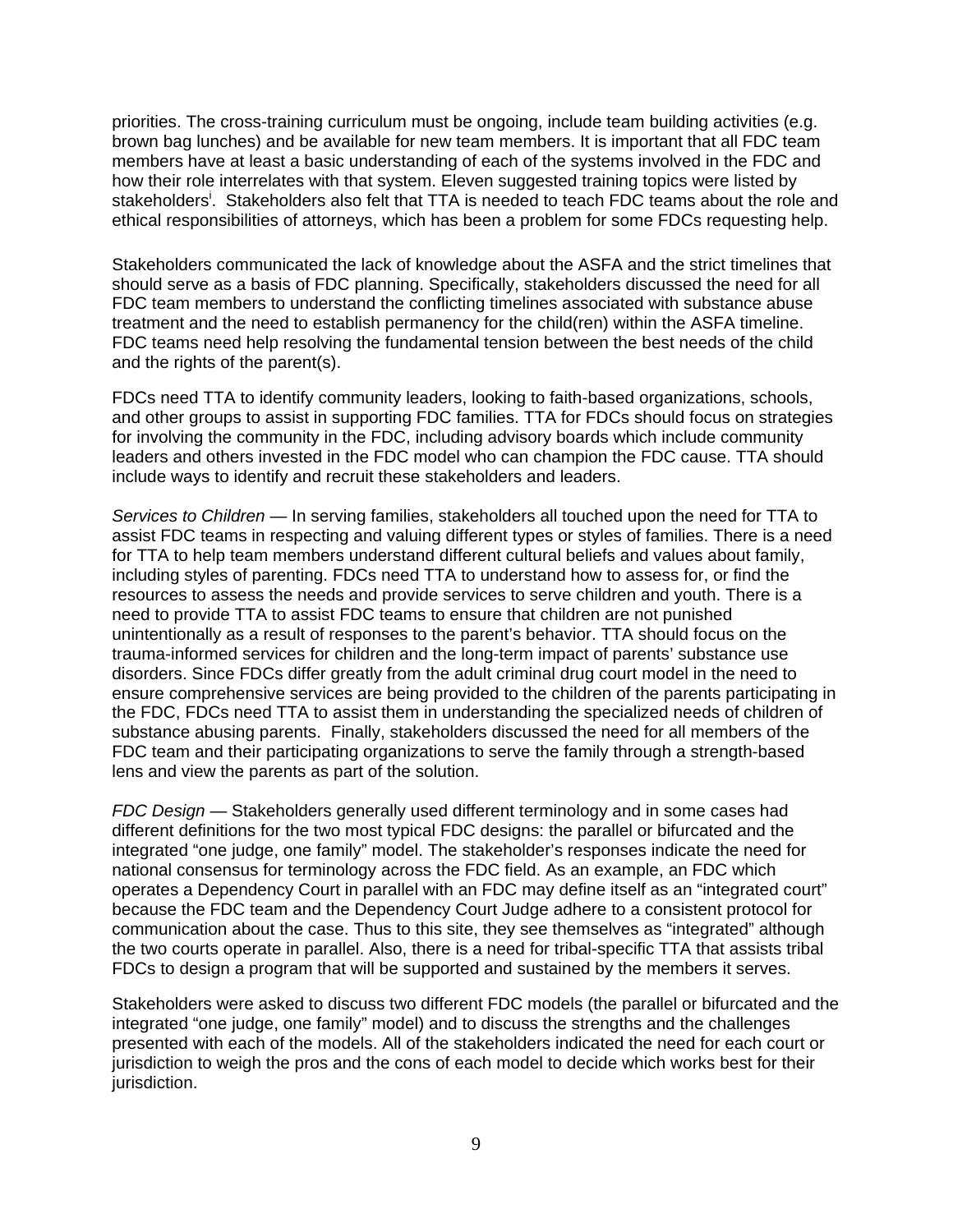priorities. The cross-training curriculum must be ongoing, include team building activities (e.g. brown bag lunches) and be available for new team members. It is important that all FDC team members have at least a basic understanding of each of the systems involved in the FDC and how their role interrelates with that system. Eleven suggested training topics were listed by stakeholders<sup>i</sup>. Stakeholders also felt that TTA is needed to teach FDC teams about the role and ethical responsibilities of attorneys, which has been a problem for some FDCs requesting help.

Stakeholders communicated the lack of knowledge about the ASFA and the strict timelines that should serve as a basis of FDC planning. Specifically, stakeholders discussed the need for all FDC team members to understand the conflicting timelines associated with substance abuse treatment and the need to establish permanency for the child(ren) within the ASFA timeline. FDC teams need help resolving the fundamental tension between the best needs of the child and the rights of the parent(s).

FDCs need TTA to identify community leaders, looking to faith-based organizations, schools, and other groups to assist in supporting FDC families. TTA for FDCs should focus on strategies for involving the community in the FDC, including advisory boards which include community leaders and others invested in the FDC model who can champion the FDC cause. TTA should include ways to identify and recruit these stakeholders and leaders.

*Services to Children —* In serving families, stakeholders all touched upon the need for TTA to assist FDC teams in respecting and valuing different types or styles of families. There is a need for TTA to help team members understand different cultural beliefs and values about family, including styles of parenting. FDCs need TTA to understand how to assess for, or find the resources to assess the needs and provide services to serve children and youth. There is a need to provide TTA to assist FDC teams to ensure that children are not punished unintentionally as a result of responses to the parent's behavior. TTA should focus on the trauma-informed services for children and the long-term impact of parents' substance use disorders. Since FDCs differ greatly from the adult criminal drug court model in the need to ensure comprehensive services are being provided to the children of the parents participating in the FDC, FDCs need TTA to assist them in understanding the specialized needs of children of substance abusing parents. Finally, stakeholders discussed the need for all members of the FDC team and their participating organizations to serve the family through a strength-based lens and view the parents as part of the solution.

*FDC Design —* Stakeholders generally used different terminology and in some cases had different definitions for the two most typical FDC designs: the parallel or bifurcated and the integrated "one judge, one family" model. The stakeholder's responses indicate the need for national consensus for terminology across the FDC field. As an example, an FDC which operates a Dependency Court in parallel with an FDC may define itself as an "integrated court" because the FDC team and the Dependency Court Judge adhere to a consistent protocol for communication about the case. Thus to this site, they see themselves as "integrated" although the two courts operate in parallel. Also, there is a need for tribal-specific TTA that assists tribal FDCs to design a program that will be supported and sustained by the members it serves.

Stakeholders were asked to discuss two different FDC models (the parallel or bifurcated and the integrated "one judge, one family" model) and to discuss the strengths and the challenges presented with each of the models. All of the stakeholders indicated the need for each court or jurisdiction to weigh the pros and the cons of each model to decide which works best for their jurisdiction.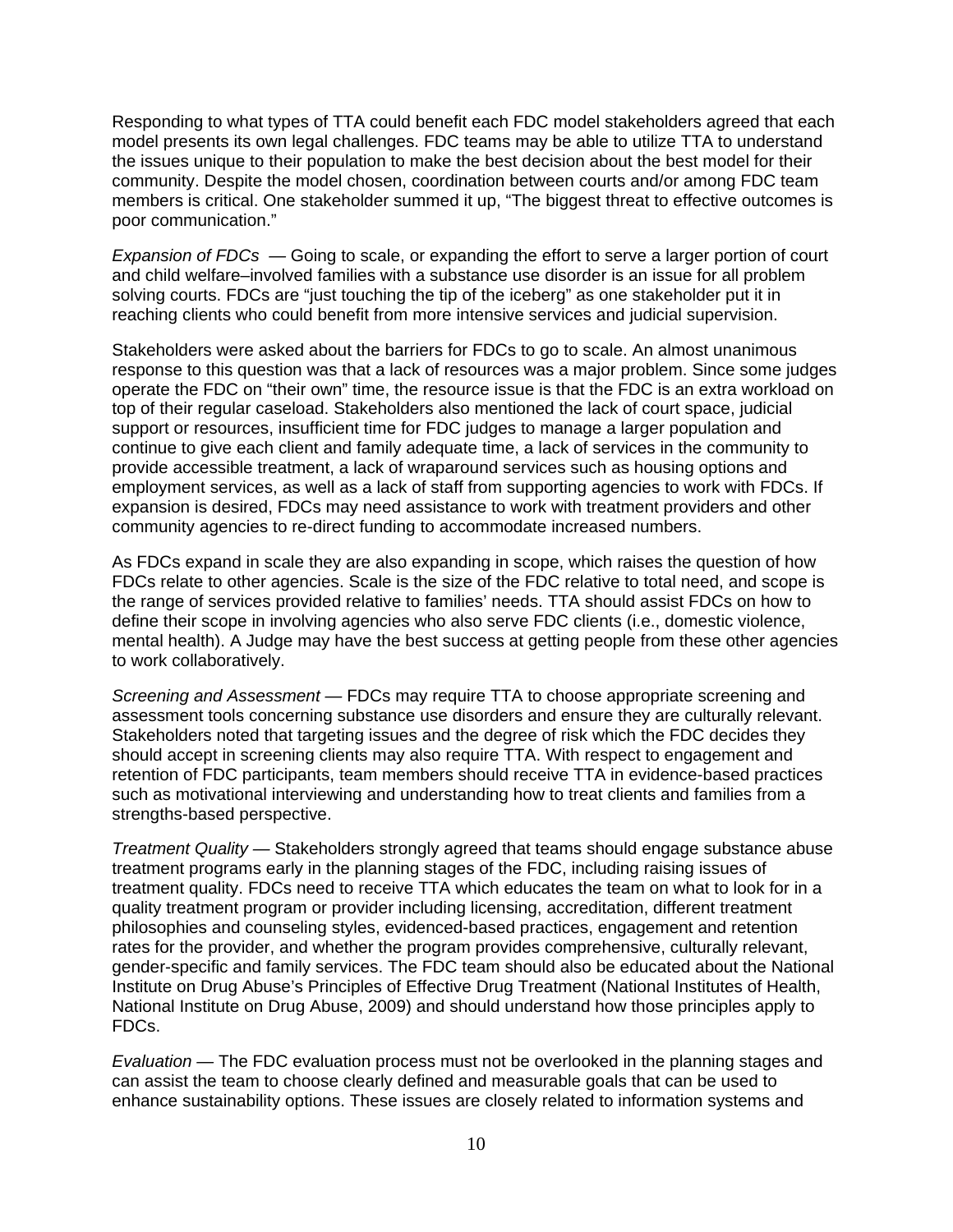Responding to what types of TTA could benefit each FDC model stakeholders agreed that each model presents its own legal challenges. FDC teams may be able to utilize TTA to understand the issues unique to their population to make the best decision about the best model for their community. Despite the model chosen, coordination between courts and/or among FDC team members is critical. One stakeholder summed it up, "The biggest threat to effective outcomes is poor communication."

*Expansion of FDCs —* Going to scale, or expanding the effort to serve a larger portion of court and child welfare–involved families with a substance use disorder is an issue for all problem solving courts. FDCs are "just touching the tip of the iceberg" as one stakeholder put it in reaching clients who could benefit from more intensive services and judicial supervision.

Stakeholders were asked about the barriers for FDCs to go to scale. An almost unanimous response to this question was that a lack of resources was a major problem. Since some judges operate the FDC on "their own" time, the resource issue is that the FDC is an extra workload on top of their regular caseload. Stakeholders also mentioned the lack of court space, judicial support or resources, insufficient time for FDC judges to manage a larger population and continue to give each client and family adequate time, a lack of services in the community to provide accessible treatment, a lack of wraparound services such as housing options and employment services, as well as a lack of staff from supporting agencies to work with FDCs. If expansion is desired, FDCs may need assistance to work with treatment providers and other community agencies to re-direct funding to accommodate increased numbers.

As FDCs expand in scale they are also expanding in scope, which raises the question of how FDCs relate to other agencies. Scale is the size of the FDC relative to total need, and scope is the range of services provided relative to families' needs. TTA should assist FDCs on how to define their scope in involving agencies who also serve FDC clients (i.e., domestic violence, mental health). A Judge may have the best success at getting people from these other agencies to work collaboratively.

*Screening and Assessment —* FDCs may require TTA to choose appropriate screening and assessment tools concerning substance use disorders and ensure they are culturally relevant. Stakeholders noted that targeting issues and the degree of risk which the FDC decides they should accept in screening clients may also require TTA. With respect to engagement and retention of FDC participants, team members should receive TTA in evidence-based practices such as motivational interviewing and understanding how to treat clients and families from a strengths-based perspective.

*Treatment Quality —* Stakeholders strongly agreed that teams should engage substance abuse treatment programs early in the planning stages of the FDC, including raising issues of treatment quality. FDCs need to receive TTA which educates the team on what to look for in a quality treatment program or provider including licensing, accreditation, different treatment philosophies and counseling styles, evidenced-based practices, engagement and retention rates for the provider, and whether the program provides comprehensive, culturally relevant, gender-specific and family services. The FDC team should also be educated about the National Institute on Drug Abuse's Principles of Effective Drug Treatment (National Institutes of Health, National Institute on Drug Abuse, 2009) and should understand how those principles apply to FDCs.

*Evaluation —* The FDC evaluation process must not be overlooked in the planning stages and can assist the team to choose clearly defined and measurable goals that can be used to enhance sustainability options. These issues are closely related to information systems and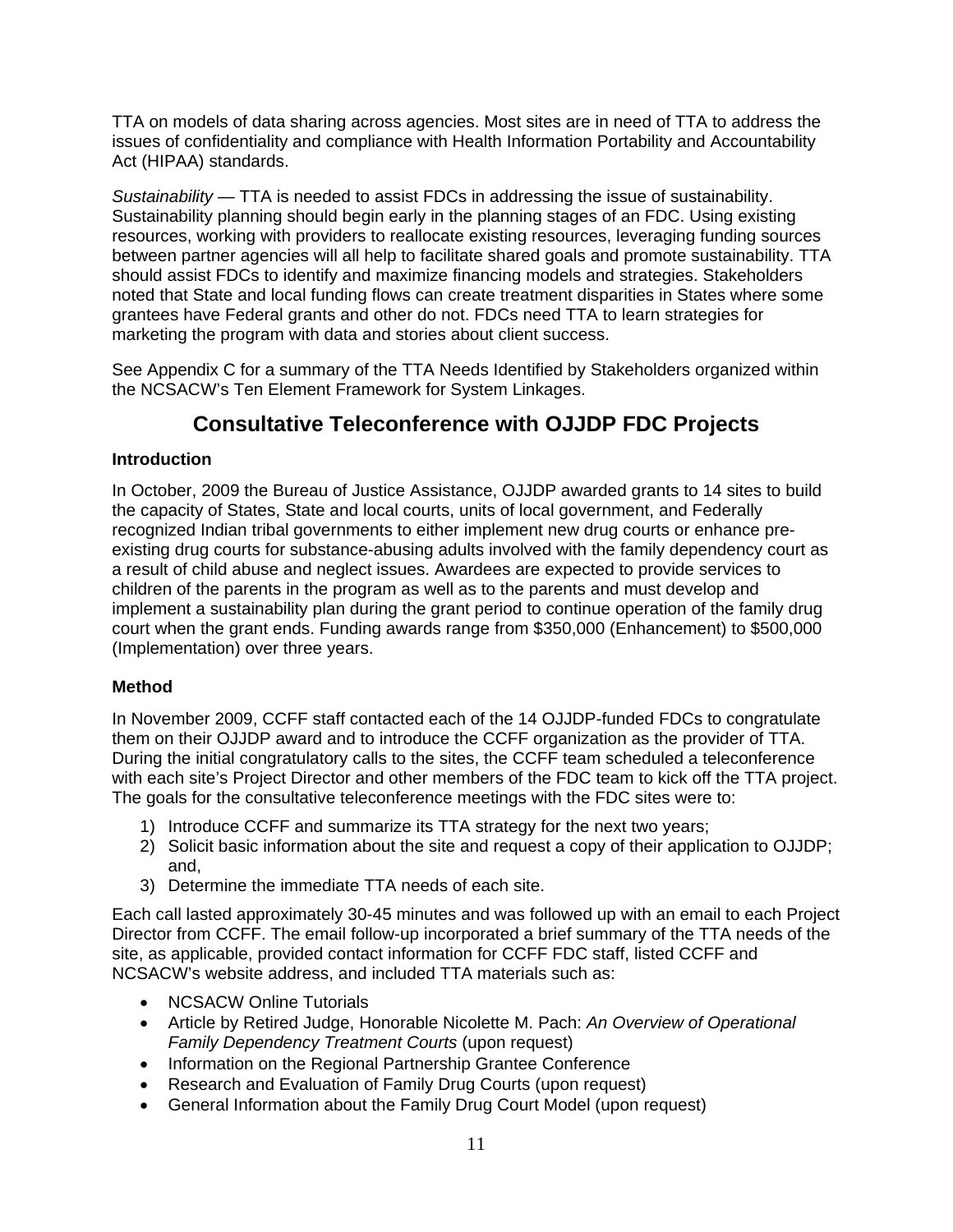TTA on models of data sharing across agencies. Most sites are in need of TTA to address the issues of confidentiality and compliance with Health Information Portability and Accountability Act (HIPAA) standards.

*Sustainability —* TTA is needed to assist FDCs in addressing the issue of sustainability. Sustainability planning should begin early in the planning stages of an FDC. Using existing resources, working with providers to reallocate existing resources, leveraging funding sources between partner agencies will all help to facilitate shared goals and promote sustainability. TTA should assist FDCs to identify and maximize financing models and strategies. Stakeholders noted that State and local funding flows can create treatment disparities in States where some grantees have Federal grants and other do not. FDCs need TTA to learn strategies for marketing the program with data and stories about client success.

See Appendix C for a summary of the TTA Needs Identified by Stakeholders organized within the NCSACW's Ten Element Framework for System Linkages.

### **Consultative Teleconference with OJJDP FDC Projects**

### **Introduction**

In October, 2009 the Bureau of Justice Assistance, OJJDP awarded grants to 14 sites to build the capacity of States, State and local courts, units of local government, and Federally recognized Indian tribal governments to either implement new drug courts or enhance preexisting drug courts for substance-abusing adults involved with the family dependency court as a result of child abuse and neglect issues. Awardees are expected to provide services to children of the parents in the program as well as to the parents and must develop and implement a sustainability plan during the grant period to continue operation of the family drug court when the grant ends. Funding awards range from \$350,000 (Enhancement) to \$500,000 (Implementation) over three years.

### **Method**

In November 2009, CCFF staff contacted each of the 14 OJJDP-funded FDCs to congratulate them on their OJJDP award and to introduce the CCFF organization as the provider of TTA. During the initial congratulatory calls to the sites, the CCFF team scheduled a teleconference with each site's Project Director and other members of the FDC team to kick off the TTA project. The goals for the consultative teleconference meetings with the FDC sites were to:

- 1) Introduce CCFF and summarize its TTA strategy for the next two years;
- 2) Solicit basic information about the site and request a copy of their application to OJJDP; and,
- 3) Determine the immediate TTA needs of each site.

Each call lasted approximately 30-45 minutes and was followed up with an email to each Project Director from CCFF. The email follow-up incorporated a brief summary of the TTA needs of the site, as applicable, provided contact information for CCFF FDC staff, listed CCFF and NCSACW's website address, and included TTA materials such as:

- NCSACW Online Tutorials
- Article by Retired Judge, Honorable Nicolette M. Pach: *An Overview of Operational Family Dependency Treatment Courts* (upon request)
- Information on the Regional Partnership Grantee Conference
- Research and Evaluation of Family Drug Courts (upon request)
- General Information about the Family Drug Court Model (upon request)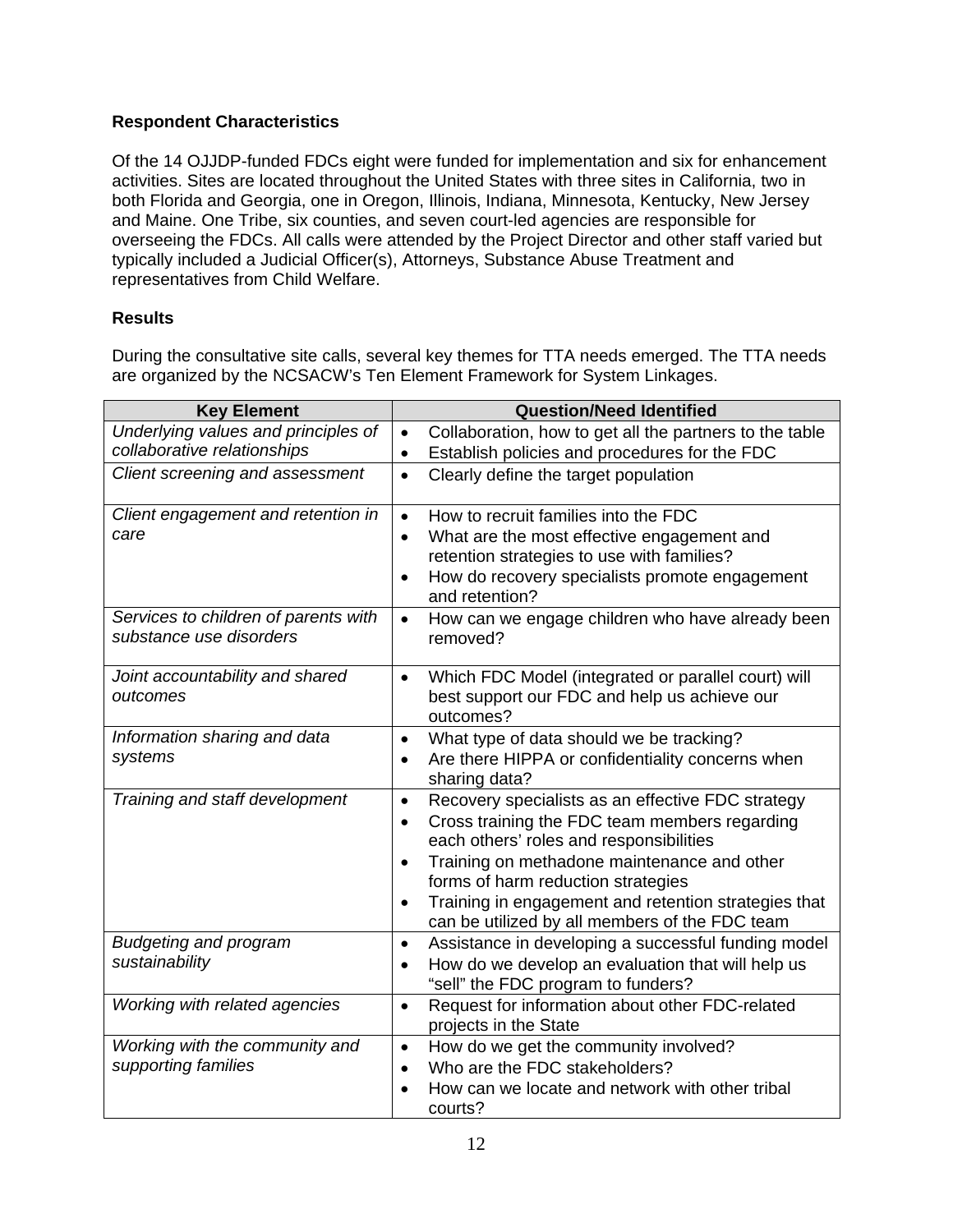### **Respondent Characteristics**

Of the 14 OJJDP-funded FDCs eight were funded for implementation and six for enhancement activities. Sites are located throughout the United States with three sites in California, two in both Florida and Georgia, one in Oregon, Illinois, Indiana, Minnesota, Kentucky, New Jersey and Maine. One Tribe, six counties, and seven court-led agencies are responsible for overseeing the FDCs. All calls were attended by the Project Director and other staff varied but typically included a Judicial Officer(s), Attorneys, Substance Abuse Treatment and representatives from Child Welfare.

### **Results**

During the consultative site calls, several key themes for TTA needs emerged. The TTA needs are organized by the NCSACW's Ten Element Framework for System Linkages.

| <b>Key Element</b>                                              | <b>Question/Need Identified</b>                                                                       |
|-----------------------------------------------------------------|-------------------------------------------------------------------------------------------------------|
| Underlying values and principles of                             | Collaboration, how to get all the partners to the table<br>$\bullet$                                  |
| collaborative relationships                                     | Establish policies and procedures for the FDC<br>$\bullet$                                            |
| Client screening and assessment                                 | Clearly define the target population<br>$\bullet$                                                     |
| Client engagement and retention in                              | How to recruit families into the FDC<br>$\bullet$                                                     |
| care                                                            | What are the most effective engagement and<br>$\bullet$                                               |
|                                                                 | retention strategies to use with families?                                                            |
|                                                                 | How do recovery specialists promote engagement<br>$\bullet$<br>and retention?                         |
| Services to children of parents with<br>substance use disorders | How can we engage children who have already been<br>$\bullet$<br>removed?                             |
| Joint accountability and shared                                 | Which FDC Model (integrated or parallel court) will<br>$\bullet$                                      |
| outcomes                                                        | best support our FDC and help us achieve our                                                          |
|                                                                 | outcomes?                                                                                             |
| Information sharing and data                                    | What type of data should we be tracking?<br>$\bullet$                                                 |
| systems                                                         | Are there HIPPA or confidentiality concerns when<br>$\bullet$<br>sharing data?                        |
| Training and staff development                                  | Recovery specialists as an effective FDC strategy<br>$\bullet$                                        |
|                                                                 | Cross training the FDC team members regarding<br>$\bullet$<br>each others' roles and responsibilities |
|                                                                 | Training on methadone maintenance and other<br>$\bullet$<br>forms of harm reduction strategies        |
|                                                                 | Training in engagement and retention strategies that<br>$\bullet$                                     |
|                                                                 | can be utilized by all members of the FDC team                                                        |
| <b>Budgeting and program</b>                                    | Assistance in developing a successful funding model<br>$\bullet$                                      |
| sustainability                                                  | How do we develop an evaluation that will help us<br>$\bullet$                                        |
|                                                                 | "sell" the FDC program to funders?                                                                    |
| Working with related agencies                                   | Request for information about other FDC-related<br>$\bullet$<br>projects in the State                 |
| Working with the community and                                  | How do we get the community involved?<br>$\bullet$                                                    |
| supporting families                                             | Who are the FDC stakeholders?<br>$\bullet$                                                            |
|                                                                 | How can we locate and network with other tribal<br>$\bullet$                                          |
|                                                                 | courts?                                                                                               |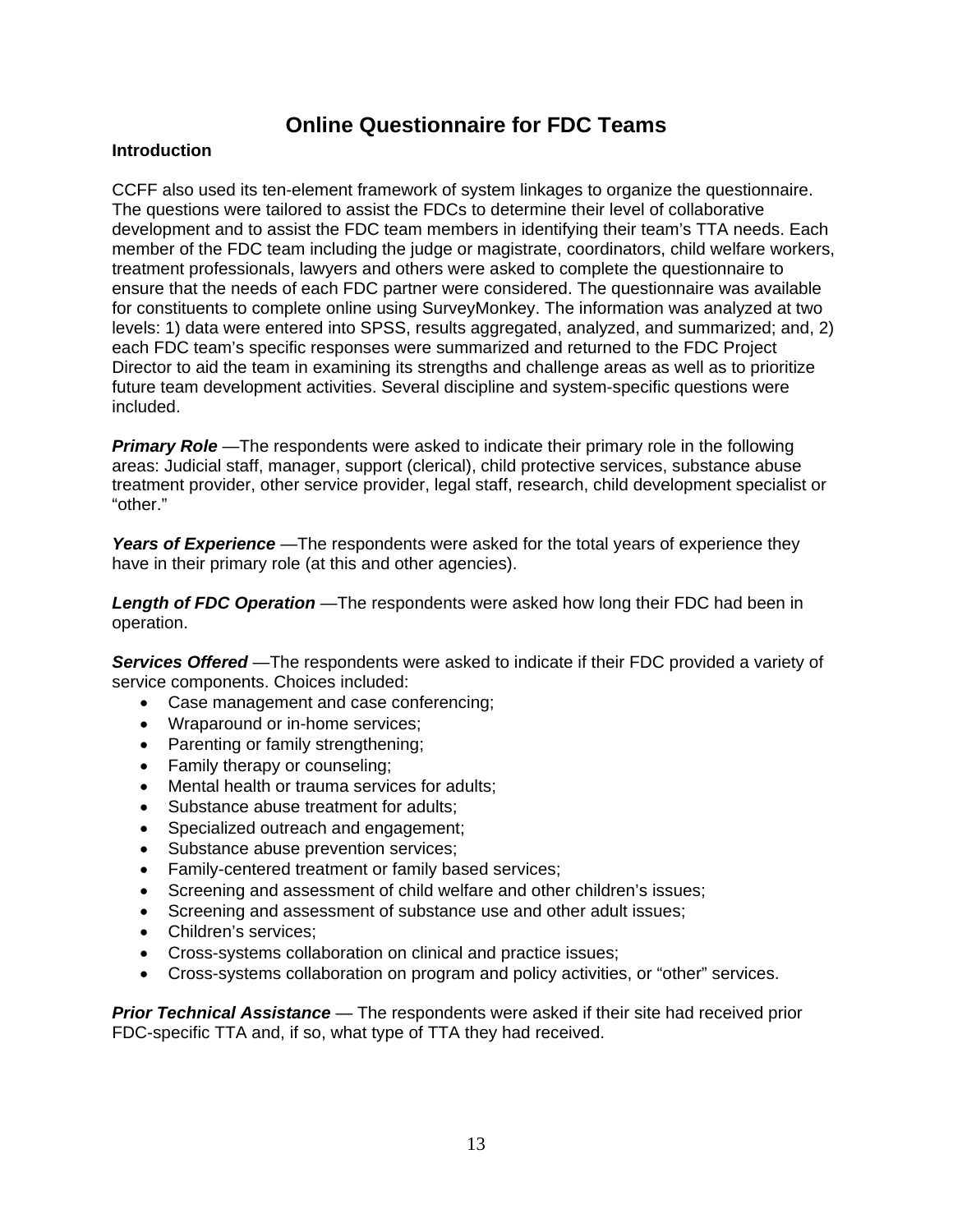### **Online Questionnaire for FDC Teams**

### **Introduction**

CCFF also used its ten-element framework of system linkages to organize the questionnaire. The questions were tailored to assist the FDCs to determine their level of collaborative development and to assist the FDC team members in identifying their team's TTA needs. Each member of the FDC team including the judge or magistrate, coordinators, child welfare workers, treatment professionals, lawyers and others were asked to complete the questionnaire to ensure that the needs of each FDC partner were considered. The questionnaire was available for constituents to complete online using SurveyMonkey. The information was analyzed at two levels: 1) data were entered into SPSS, results aggregated, analyzed, and summarized; and, 2) each FDC team's specific responses were summarized and returned to the FDC Project Director to aid the team in examining its strengths and challenge areas as well as to prioritize future team development activities. Several discipline and system-specific questions were included.

*Primary Role —*The respondents were asked to indicate their primary role in the following areas: Judicial staff, manager, support (clerical), child protective services, substance abuse treatment provider, other service provider, legal staff, research, child development specialist or "other."

*Years of Experience —*The respondents were asked for the total years of experience they have in their primary role (at this and other agencies).

*Length of FDC Operation —*The respondents were asked how long their FDC had been in operation.

*Services Offered —*The respondents were asked to indicate if their FDC provided a variety of service components. Choices included:

- Case management and case conferencing;
- Wraparound or in-home services;
- Parenting or family strengthening;
- Family therapy or counseling;
- Mental health or trauma services for adults;
- Substance abuse treatment for adults:
- Specialized outreach and engagement;
- Substance abuse prevention services;
- Family-centered treatment or family based services;
- Screening and assessment of child welfare and other children's issues;
- Screening and assessment of substance use and other adult issues:
- Children's services:
- Cross-systems collaboration on clinical and practice issues;
- Cross-systems collaboration on program and policy activities, or "other" services.

*Prior Technical Assistance —* The respondents were asked if their site had received prior FDC-specific TTA and, if so, what type of TTA they had received.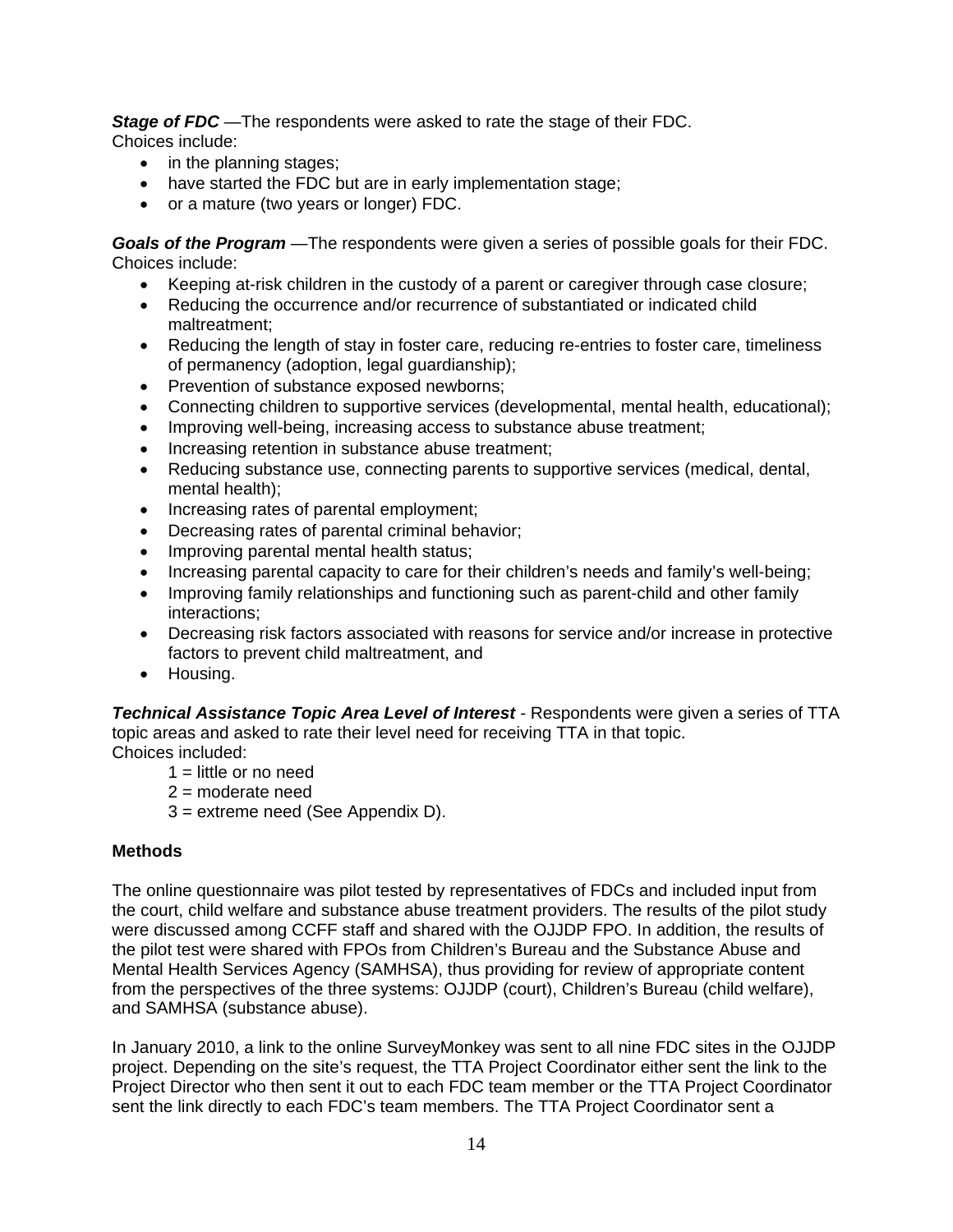*Stage of FDC —*The respondents were asked to rate the stage of their FDC. Choices include:

- in the planning stages;
- have started the FDC but are in early implementation stage;
- or a mature (two years or longer) FDC.

*Goals of the Program —*The respondents were given a series of possible goals for their FDC. Choices include:

- Keeping at-risk children in the custody of a parent or caregiver through case closure;
- Reducing the occurrence and/or recurrence of substantiated or indicated child maltreatment;
- Reducing the length of stay in foster care, reducing re-entries to foster care, timeliness of permanency (adoption, legal guardianship);
- Prevention of substance exposed newborns;
- Connecting children to supportive services (developmental, mental health, educational);
- Improving well-being, increasing access to substance abuse treatment;
- Increasing retention in substance abuse treatment;
- Reducing substance use, connecting parents to supportive services (medical, dental, mental health);
- Increasing rates of parental employment;
- Decreasing rates of parental criminal behavior;
- Improving parental mental health status;
- Increasing parental capacity to care for their children's needs and family's well-being;
- Improving family relationships and functioning such as parent-child and other family interactions;
- Decreasing risk factors associated with reasons for service and/or increase in protective factors to prevent child maltreatment, and
- Housing.

*Technical Assistance Topic Area Level of Interest -* Respondents were given a series of TTA topic areas and asked to rate their level need for receiving TTA in that topic. Choices included:

- $1 =$  little or no need
- 2 = moderate need
- 3 = extreme need (See Appendix D).

### **Methods**

The online questionnaire was pilot tested by representatives of FDCs and included input from the court, child welfare and substance abuse treatment providers. The results of the pilot study were discussed among CCFF staff and shared with the OJJDP FPO. In addition, the results of the pilot test were shared with FPOs from Children's Bureau and the Substance Abuse and Mental Health Services Agency (SAMHSA), thus providing for review of appropriate content from the perspectives of the three systems: OJJDP (court), Children's Bureau (child welfare), and SAMHSA (substance abuse).

In January 2010, a link to the online SurveyMonkey was sent to all nine FDC sites in the OJJDP project. Depending on the site's request, the TTA Project Coordinator either sent the link to the Project Director who then sent it out to each FDC team member or the TTA Project Coordinator sent the link directly to each FDC's team members. The TTA Project Coordinator sent a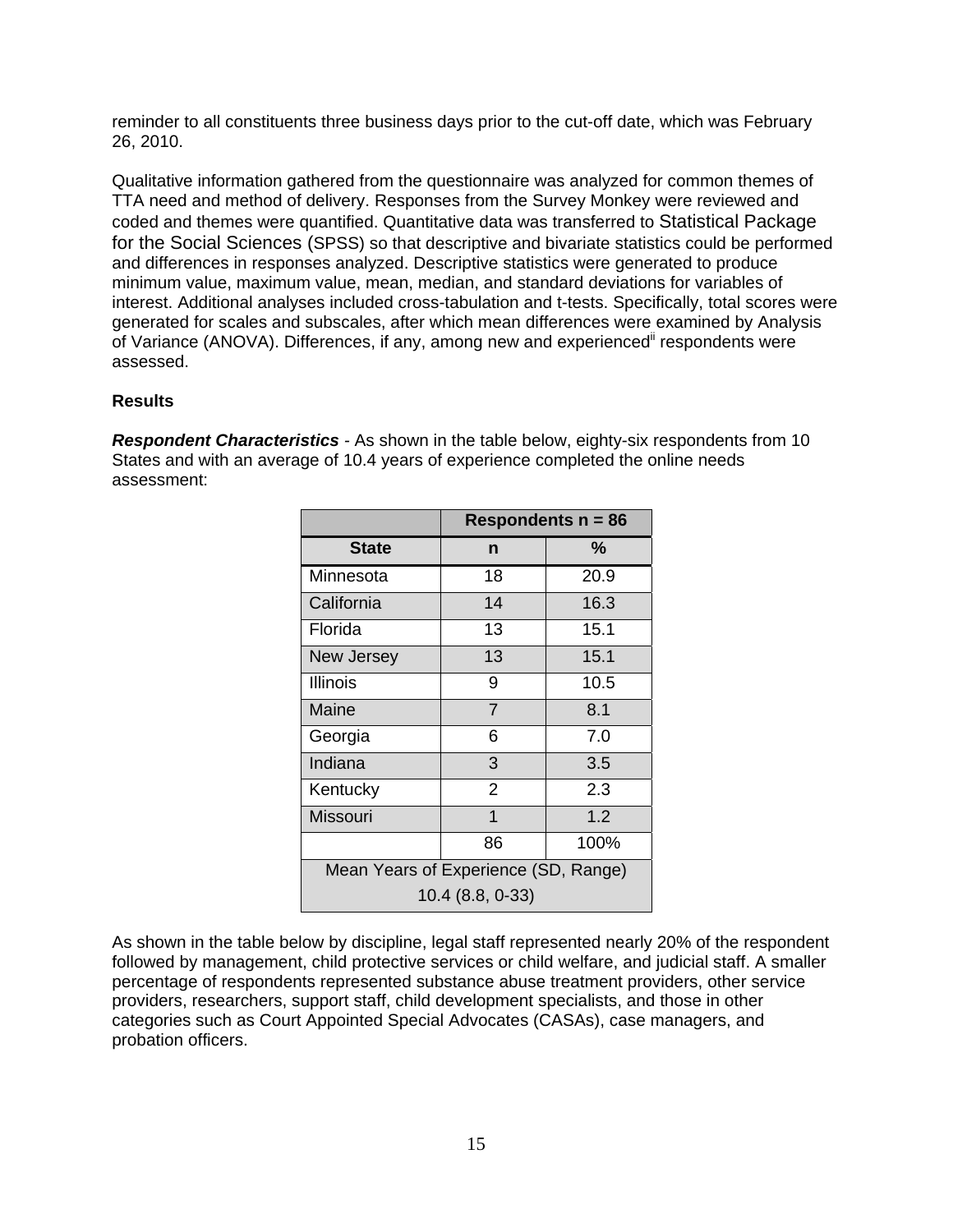reminder to all constituents three business days prior to the cut-off date, which was February 26, 2010.

Qualitative information gathered from the questionnaire was analyzed for common themes of TTA need and method of delivery. Responses from the Survey Monkey were reviewed and coded and themes were quantified. Quantitative data was transferred to Statistical Package for the Social Sciences (SPSS) so that descriptive and bivariate statistics could be performed and differences in responses analyzed. Descriptive statistics were generated to produce minimum value, maximum value, mean, median, and standard deviations for variables of interest. Additional analyses included cross-tabulation and t-tests. Specifically, total scores were generated for scales and subscales, after which mean differences were examined by Analysis of Variance (ANOVA). Differences, if any, among new and experienced<sup>ii</sup> respondents were assessed.

#### **Results**

**Respondent Characteristics** - As shown in the table below, eighty-six respondents from 10 States and with an average of 10.4 years of experience completed the online needs assessment:

|                                      | Respondents $n = 86$ |      |  |
|--------------------------------------|----------------------|------|--|
| <b>State</b>                         | n                    | %    |  |
| Minnesota                            | 18                   | 20.9 |  |
| California                           | 14                   | 16.3 |  |
| Florida                              | 13                   | 15.1 |  |
| New Jersey                           | 13                   | 15.1 |  |
| Illinois                             | 9                    | 10.5 |  |
| Maine                                | $\overline{7}$       | 8.1  |  |
| Georgia                              | 6                    | 7.0  |  |
| Indiana                              | 3                    | 3.5  |  |
| Kentucky                             | $\overline{2}$       | 2.3  |  |
| Missouri                             | 1                    | 1.2  |  |
|                                      | 86                   | 100% |  |
| Mean Years of Experience (SD, Range) |                      |      |  |
|                                      | 10.4 (8.8, 0-33)     |      |  |

As shown in the table below by discipline, legal staff represented nearly 20% of the respondent followed by management, child protective services or child welfare, and judicial staff. A smaller percentage of respondents represented substance abuse treatment providers, other service providers, researchers, support staff, child development specialists, and those in other categories such as Court Appointed Special Advocates (CASAs), case managers, and probation officers.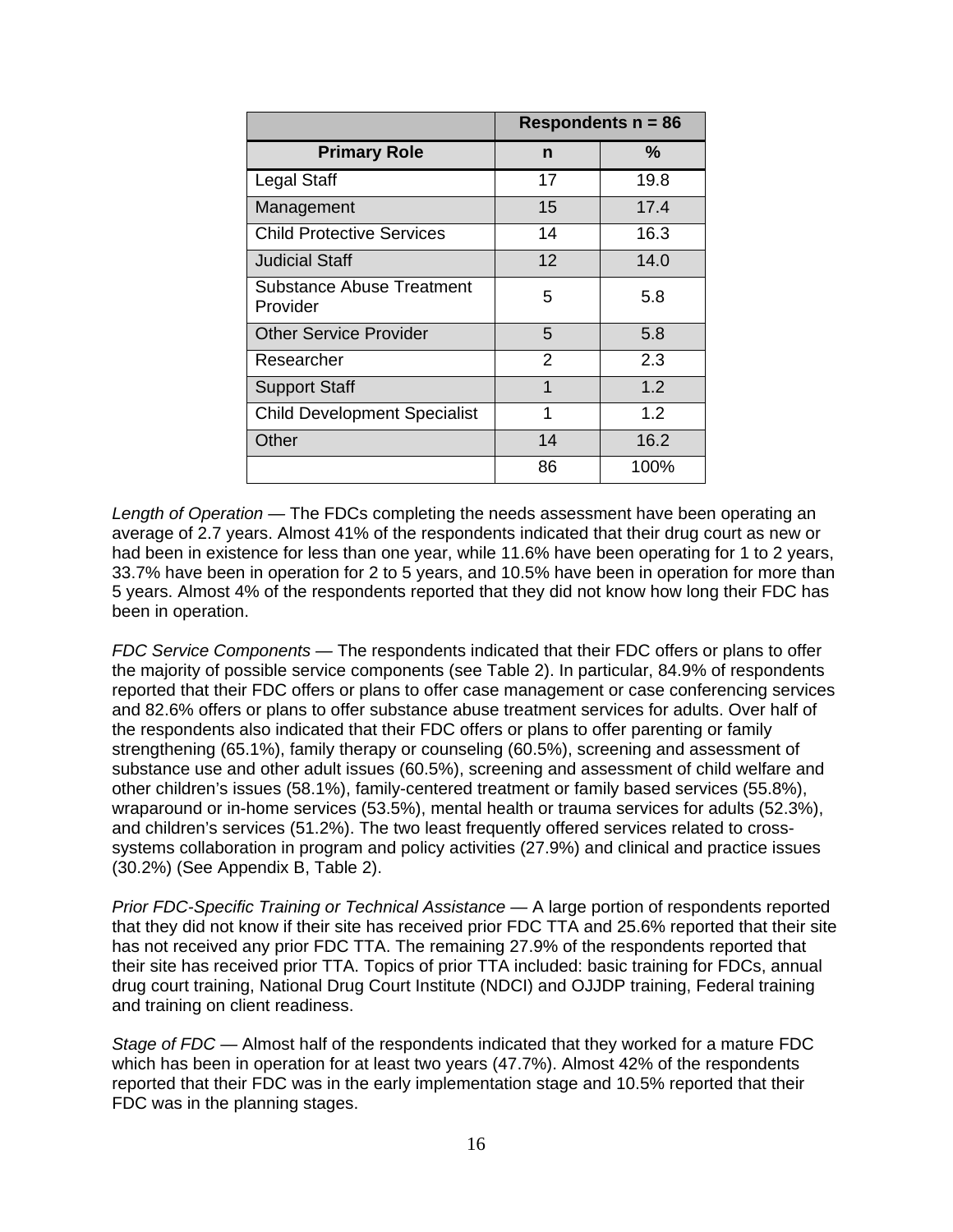|                                       |                | Respondents $n = 86$ |
|---------------------------------------|----------------|----------------------|
| <b>Primary Role</b>                   | n              | %                    |
| <b>Legal Staff</b>                    | 17             | 19.8                 |
| Management                            | 15             | 17.4                 |
| <b>Child Protective Services</b>      | 14             | 16.3                 |
| Judicial Staff                        | 12             | 14.0                 |
| Substance Abuse Treatment<br>Provider | 5              | 5.8                  |
| <b>Other Service Provider</b>         | 5              | 5.8                  |
| Researcher                            | $\overline{2}$ | 2.3                  |
| <b>Support Staff</b>                  | 1              | 1.2                  |
| <b>Child Development Specialist</b>   | 1              | 1.2                  |
| Other                                 | 14             | 16.2                 |
|                                       | 86             | 100%                 |

*Length of Operation —* The FDCs completing the needs assessment have been operating an average of 2.7 years. Almost 41% of the respondents indicated that their drug court as new or had been in existence for less than one year, while 11.6% have been operating for 1 to 2 years, 33.7% have been in operation for 2 to 5 years, and 10.5% have been in operation for more than 5 years. Almost 4% of the respondents reported that they did not know how long their FDC has been in operation.

*FDC Service Components —* The respondents indicated that their FDC offers or plans to offer the majority of possible service components (see Table 2). In particular, 84.9% of respondents reported that their FDC offers or plans to offer case management or case conferencing services and 82.6% offers or plans to offer substance abuse treatment services for adults. Over half of the respondents also indicated that their FDC offers or plans to offer parenting or family strengthening (65.1%), family therapy or counseling (60.5%), screening and assessment of substance use and other adult issues (60.5%), screening and assessment of child welfare and other children's issues (58.1%), family-centered treatment or family based services (55.8%), wraparound or in-home services (53.5%), mental health or trauma services for adults (52.3%), and children's services (51.2%). The two least frequently offered services related to crosssystems collaboration in program and policy activities (27.9%) and clinical and practice issues (30.2%) (See Appendix B, Table 2).

*Prior FDC-Specific Training or Technical Assistance —* A large portion of respondents reported that they did not know if their site has received prior FDC TTA and 25.6% reported that their site has not received any prior FDC TTA. The remaining 27.9% of the respondents reported that their site has received prior TTA. Topics of prior TTA included: basic training for FDCs, annual drug court training, National Drug Court Institute (NDCI) and OJJDP training, Federal training and training on client readiness.

*Stage of FDC —* Almost half of the respondents indicated that they worked for a mature FDC which has been in operation for at least two years (47.7%). Almost 42% of the respondents reported that their FDC was in the early implementation stage and 10.5% reported that their FDC was in the planning stages.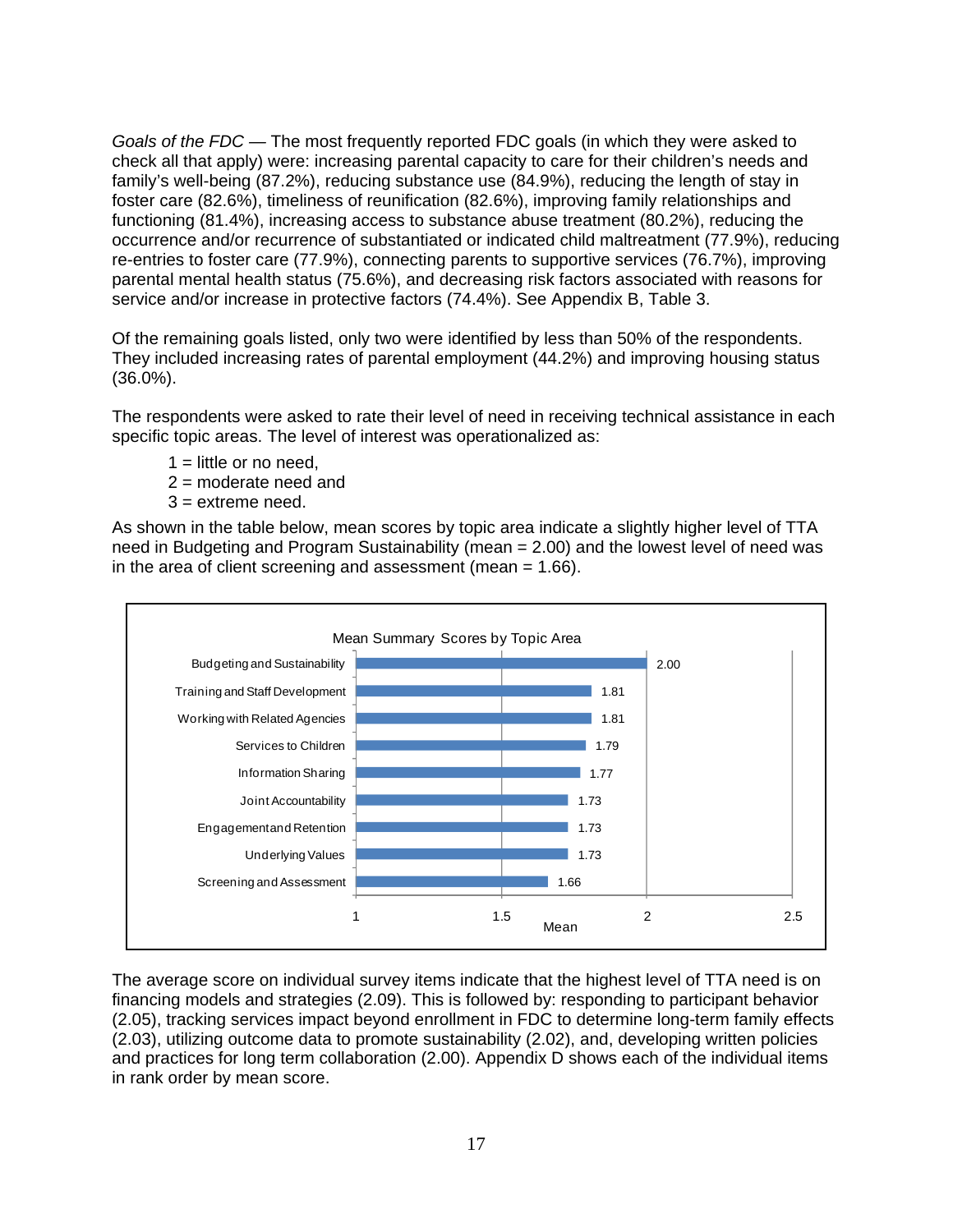*Goals of the FDC —* The most frequently reported FDC goals (in which they were asked to check all that apply) were: increasing parental capacity to care for their children's needs and family's well-being (87.2%), reducing substance use (84.9%), reducing the length of stay in foster care (82.6%), timeliness of reunification (82.6%), improving family relationships and functioning (81.4%), increasing access to substance abuse treatment (80.2%), reducing the occurrence and/or recurrence of substantiated or indicated child maltreatment (77.9%), reducing re-entries to foster care (77.9%), connecting parents to supportive services (76.7%), improving parental mental health status (75.6%), and decreasing risk factors associated with reasons for service and/or increase in protective factors (74.4%). See Appendix B, Table 3.

Of the remaining goals listed, only two were identified by less than 50% of the respondents. They included increasing rates of parental employment (44.2%) and improving housing status (36.0%).

The respondents were asked to rate their level of need in receiving technical assistance in each specific topic areas. The level of interest was operationalized as:

- $1 =$  little or no need,
- 2 = moderate need and
- $3 =$  extreme need.

As shown in the table below, mean scores by topic area indicate a slightly higher level of TTA need in Budgeting and Program Sustainability (mean = 2.00) and the lowest level of need was in the area of client screening and assessment (mean  $= 1.66$ ).



The average score on individual survey items indicate that the highest level of TTA need is on financing models and strategies (2.09). This is followed by: responding to participant behavior (2.05), tracking services impact beyond enrollment in FDC to determine long-term family effects (2.03), utilizing outcome data to promote sustainability (2.02), and, developing written policies and practices for long term collaboration (2.00). Appendix D shows each of the individual items in rank order by mean score.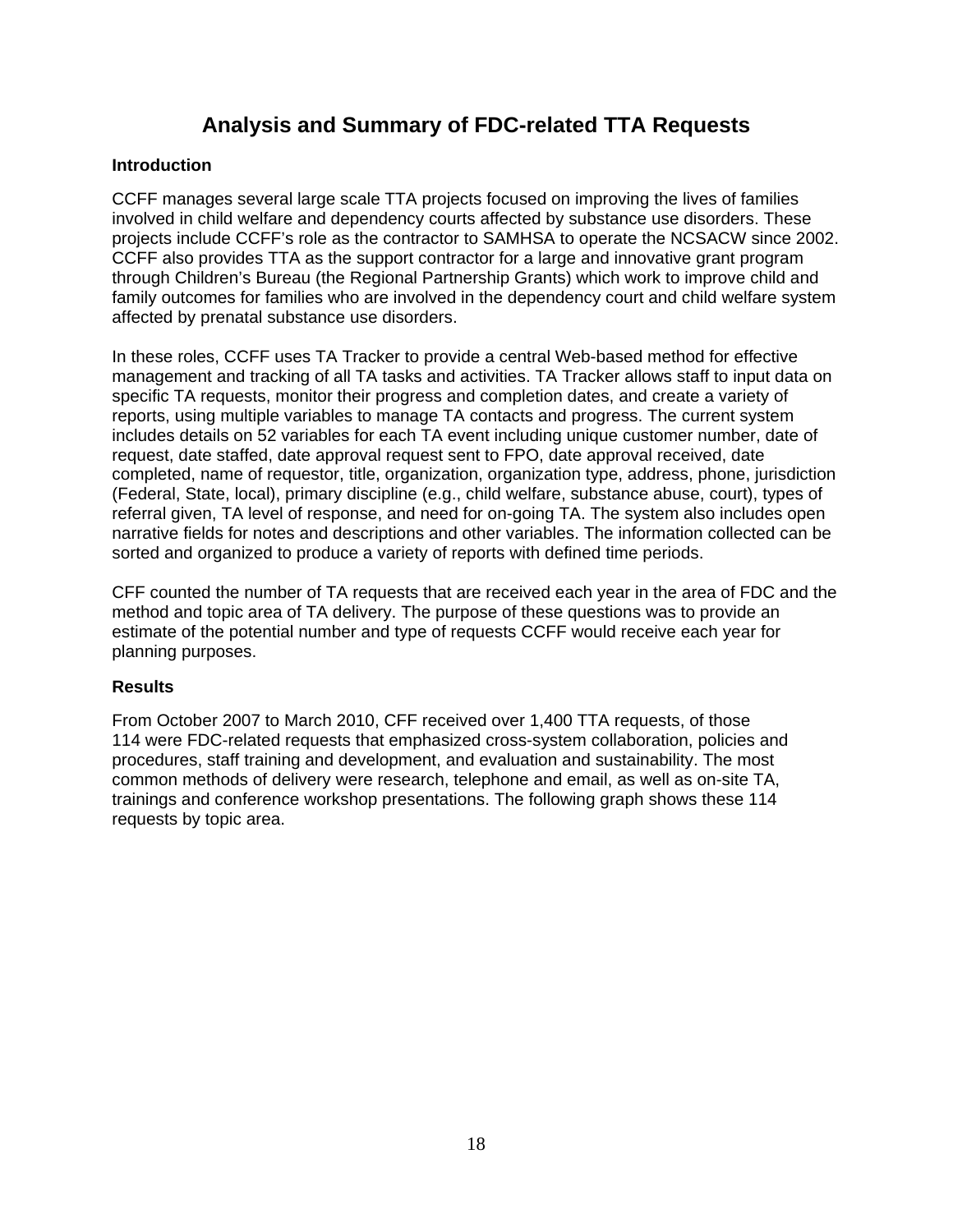### **Analysis and Summary of FDC-related TTA Requests**

### **Introduction**

CCFF manages several large scale TTA projects focused on improving the lives of families involved in child welfare and dependency courts affected by substance use disorders. These projects include CCFF's role as the contractor to SAMHSA to operate the NCSACW since 2002. CCFF also provides TTA as the support contractor for a large and innovative grant program through Children's Bureau (the Regional Partnership Grants) which work to improve child and family outcomes for families who are involved in the dependency court and child welfare system affected by prenatal substance use disorders.

In these roles, CCFF uses TA Tracker to provide a central Web-based method for effective management and tracking of all TA tasks and activities. TA Tracker allows staff to input data on specific TA requests, monitor their progress and completion dates, and create a variety of reports, using multiple variables to manage TA contacts and progress. The current system includes details on 52 variables for each TA event including unique customer number, date of request, date staffed, date approval request sent to FPO, date approval received, date completed, name of requestor, title, organization, organization type, address, phone, jurisdiction (Federal, State, local), primary discipline (e.g., child welfare, substance abuse, court), types of referral given, TA level of response, and need for on-going TA. The system also includes open narrative fields for notes and descriptions and other variables. The information collected can be sorted and organized to produce a variety of reports with defined time periods.

CFF counted the number of TA requests that are received each year in the area of FDC and the method and topic area of TA delivery. The purpose of these questions was to provide an estimate of the potential number and type of requests CCFF would receive each year for planning purposes.

#### **Results**

From October 2007 to March 2010, CFF received over 1,400 TTA requests, of those 114 were FDC-related requests that emphasized cross-system collaboration, policies and procedures, staff training and development, and evaluation and sustainability. The most common methods of delivery were research, telephone and email, as well as on-site TA, trainings and conference workshop presentations. The following graph shows these 114 requests by topic area.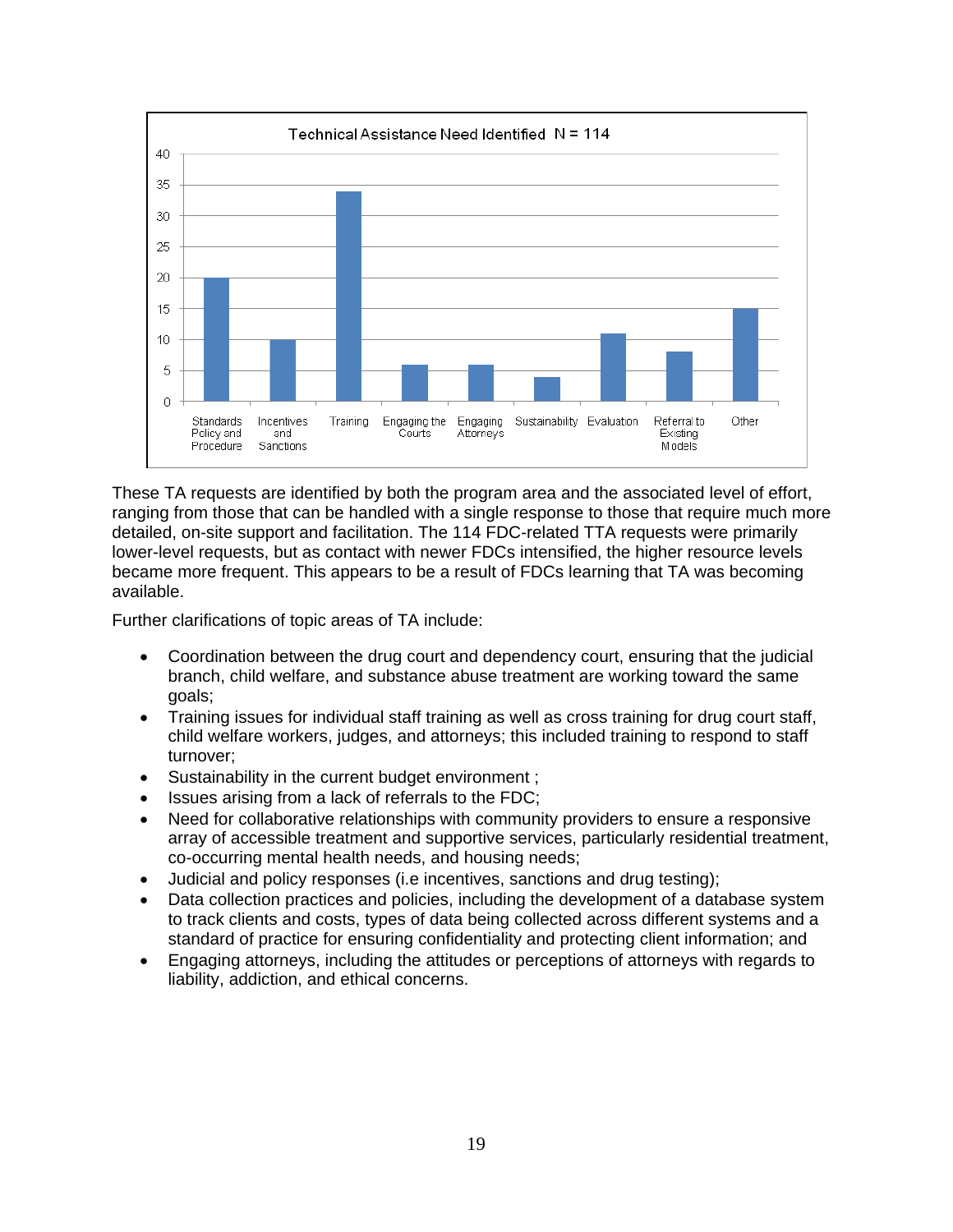

These TA requests are identified by both the program area and the associated level of effort, ranging from those that can be handled with a single response to those that require much more detailed, on-site support and facilitation. The 114 FDC-related TTA requests were primarily lower-level requests, but as contact with newer FDCs intensified, the higher resource levels became more frequent. This appears to be a result of FDCs learning that TA was becoming available.

Further clarifications of topic areas of TA include:

- Coordination between the drug court and dependency court, ensuring that the judicial branch, child welfare, and substance abuse treatment are working toward the same goals;
- Training issues for individual staff training as well as cross training for drug court staff, child welfare workers, judges, and attorneys; this included training to respond to staff turnover;
- Sustainability in the current budget environment;
- $\bullet$  Issues arising from a lack of referrals to the FDC;
- Need for collaborative relationships with community providers to ensure a responsive array of accessible treatment and supportive services, particularly residential treatment, co-occurring mental health needs, and housing needs;
- Judicial and policy responses (i.e incentives, sanctions and drug testing);
- Data collection practices and policies, including the development of a database system to track clients and costs, types of data being collected across different systems and a standard of practice for ensuring confidentiality and protecting client information; and
- Engaging attorneys, including the attitudes or perceptions of attorneys with regards to liability, addiction, and ethical concerns.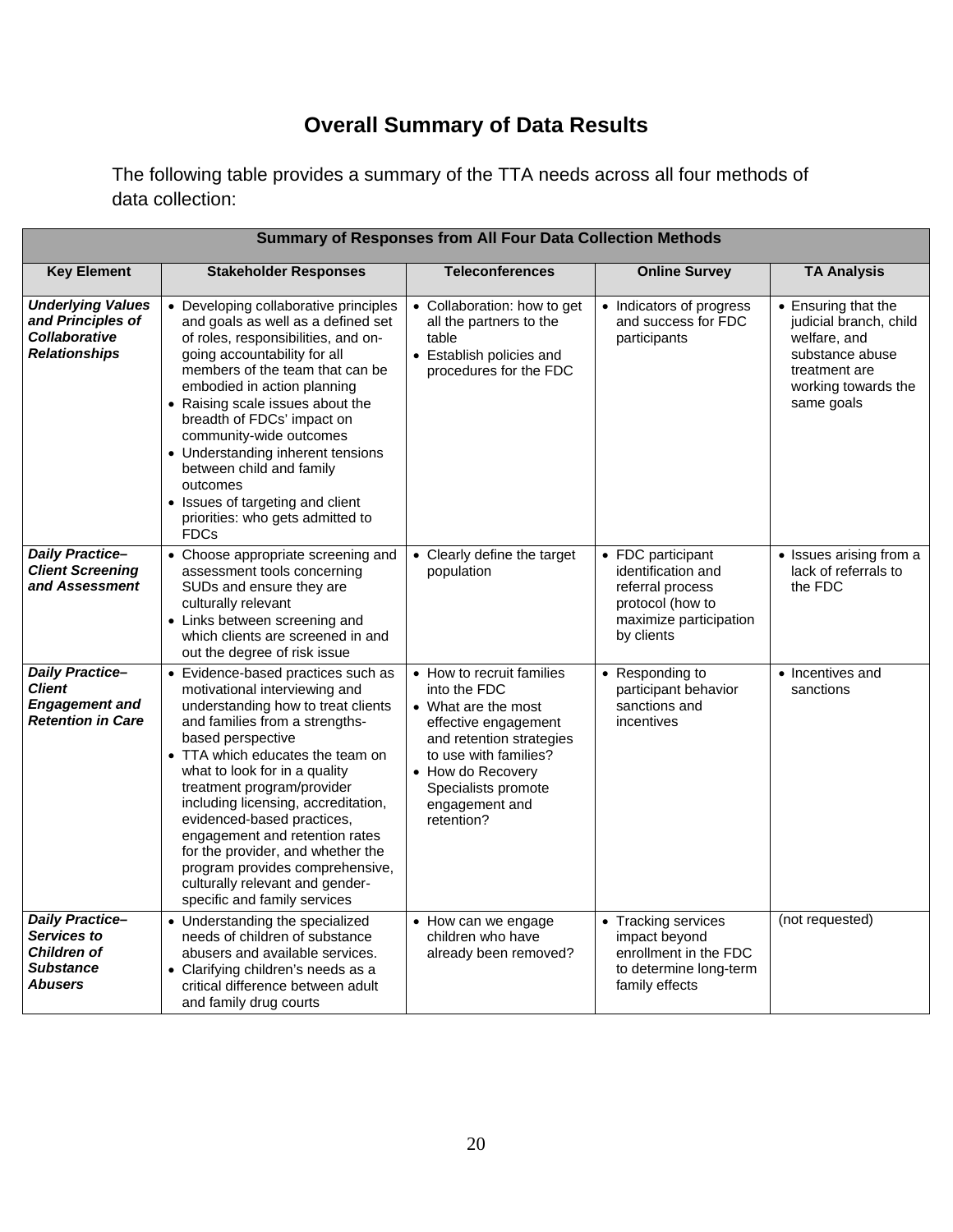## **Overall Summary of Data Results**

The following table provides a summary of the TTA needs across all four methods of data collection:

| <b>Summary of Responses from All Four Data Collection Methods</b>                             |                                                                                                                                                                                                                                                                                                                                                                                                                                                                                                                       |                                                                                                                                                                                                                           |                                                                                                                         |                                                                                                                                        |
|-----------------------------------------------------------------------------------------------|-----------------------------------------------------------------------------------------------------------------------------------------------------------------------------------------------------------------------------------------------------------------------------------------------------------------------------------------------------------------------------------------------------------------------------------------------------------------------------------------------------------------------|---------------------------------------------------------------------------------------------------------------------------------------------------------------------------------------------------------------------------|-------------------------------------------------------------------------------------------------------------------------|----------------------------------------------------------------------------------------------------------------------------------------|
| <b>Key Element</b>                                                                            | <b>Stakeholder Responses</b>                                                                                                                                                                                                                                                                                                                                                                                                                                                                                          | <b>Teleconferences</b>                                                                                                                                                                                                    | <b>Online Survey</b>                                                                                                    | <b>TA Analysis</b>                                                                                                                     |
| <b>Underlying Values</b><br>and Principles of<br><b>Collaborative</b><br><b>Relationships</b> | • Developing collaborative principles<br>and goals as well as a defined set<br>of roles, responsibilities, and on-<br>going accountability for all<br>members of the team that can be<br>embodied in action planning<br>• Raising scale issues about the<br>breadth of FDCs' impact on<br>community-wide outcomes<br>• Understanding inherent tensions<br>between child and family<br>outcomes<br>• Issues of targeting and client<br>priorities: who gets admitted to<br><b>FDCs</b>                                 | • Collaboration: how to get<br>all the partners to the<br>table<br>• Establish policies and<br>procedures for the FDC                                                                                                     | • Indicators of progress<br>and success for FDC<br>participants                                                         | • Ensuring that the<br>judicial branch, child<br>welfare, and<br>substance abuse<br>treatment are<br>working towards the<br>same goals |
| <b>Daily Practice-</b><br><b>Client Screening</b><br>and Assessment                           | • Choose appropriate screening and<br>assessment tools concerning<br>SUDs and ensure they are<br>culturally relevant<br>• Links between screening and<br>which clients are screened in and<br>out the degree of risk issue                                                                                                                                                                                                                                                                                            | • Clearly define the target<br>population                                                                                                                                                                                 | • FDC participant<br>identification and<br>referral process<br>protocol (how to<br>maximize participation<br>by clients | • Issues arising from a<br>lack of referrals to<br>the FDC                                                                             |
| <b>Daily Practice-</b><br><b>Client</b><br><b>Engagement and</b><br><b>Retention in Care</b>  | • Evidence-based practices such as<br>motivational interviewing and<br>understanding how to treat clients<br>and families from a strengths-<br>based perspective<br>• TTA which educates the team on<br>what to look for in a quality<br>treatment program/provider<br>including licensing, accreditation,<br>evidenced-based practices,<br>engagement and retention rates<br>for the provider, and whether the<br>program provides comprehensive,<br>culturally relevant and gender-<br>specific and family services | • How to recruit families<br>into the FDC<br>• What are the most<br>effective engagement<br>and retention strategies<br>to use with families?<br>• How do Recovery<br>Specialists promote<br>engagement and<br>retention? | • Responding to<br>participant behavior<br>sanctions and<br>incentives                                                  | • Incentives and<br>sanctions                                                                                                          |
| <b>Daily Practice-</b><br>Services to<br><b>Children of</b><br><b>Substance</b><br>Abusers    | • Understanding the specialized<br>needs of children of substance<br>abusers and available services.<br>• Clarifying children's needs as a<br>critical difference between adult<br>and family drug courts                                                                                                                                                                                                                                                                                                             | • How can we engage<br>children who have<br>already been removed?                                                                                                                                                         | • Tracking services<br>impact beyond<br>enrollment in the FDC<br>to determine long-term<br>family effects               | (not requested)                                                                                                                        |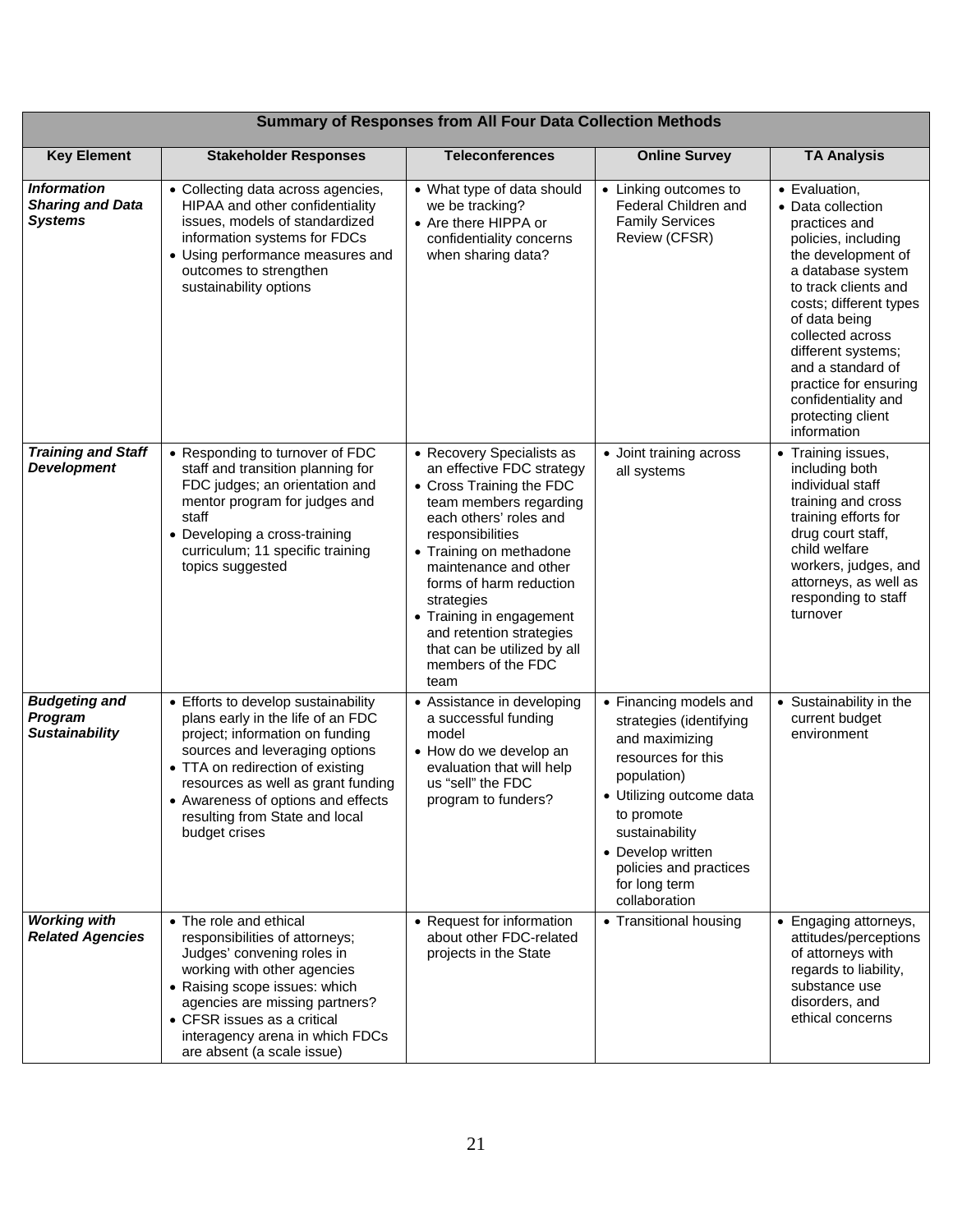| <b>Summary of Responses from All Four Data Collection Methods</b> |                                                                                                                                                                                                                                                                                                                  |                                                                                                                                                                                                                                                                                                                                                                              |                                                                                                                                                                                                                                                       |                                                                                                                                                                                                                                                                                                                                             |
|-------------------------------------------------------------------|------------------------------------------------------------------------------------------------------------------------------------------------------------------------------------------------------------------------------------------------------------------------------------------------------------------|------------------------------------------------------------------------------------------------------------------------------------------------------------------------------------------------------------------------------------------------------------------------------------------------------------------------------------------------------------------------------|-------------------------------------------------------------------------------------------------------------------------------------------------------------------------------------------------------------------------------------------------------|---------------------------------------------------------------------------------------------------------------------------------------------------------------------------------------------------------------------------------------------------------------------------------------------------------------------------------------------|
| <b>Key Element</b>                                                | <b>Stakeholder Responses</b>                                                                                                                                                                                                                                                                                     | <b>Teleconferences</b>                                                                                                                                                                                                                                                                                                                                                       | <b>Online Survey</b>                                                                                                                                                                                                                                  | <b>TA Analysis</b>                                                                                                                                                                                                                                                                                                                          |
| <b>Information</b><br><b>Sharing and Data</b><br><b>Systems</b>   | • Collecting data across agencies,<br>HIPAA and other confidentiality<br>issues, models of standardized<br>information systems for FDCs<br>• Using performance measures and<br>outcomes to strengthen<br>sustainability options                                                                                  | • What type of data should<br>we be tracking?<br>• Are there HIPPA or<br>confidentiality concerns<br>when sharing data?                                                                                                                                                                                                                                                      | • Linking outcomes to<br>Federal Children and<br><b>Family Services</b><br>Review (CFSR)                                                                                                                                                              | • Evaluation,<br>• Data collection<br>practices and<br>policies, including<br>the development of<br>a database system<br>to track clients and<br>costs; different types<br>of data being<br>collected across<br>different systems;<br>and a standard of<br>practice for ensuring<br>confidentiality and<br>protecting client<br>information |
| <b>Training and Staff</b><br><b>Development</b>                   | • Responding to turnover of FDC<br>staff and transition planning for<br>FDC judges; an orientation and<br>mentor program for judges and<br>staff<br>• Developing a cross-training<br>curriculum; 11 specific training<br>topics suggested                                                                        | • Recovery Specialists as<br>an effective FDC strategy<br>• Cross Training the FDC<br>team members regarding<br>each others' roles and<br>responsibilities<br>• Training on methadone<br>maintenance and other<br>forms of harm reduction<br>strategies<br>• Training in engagement<br>and retention strategies<br>that can be utilized by all<br>members of the FDC<br>team | • Joint training across<br>all systems                                                                                                                                                                                                                | • Training issues,<br>including both<br>individual staff<br>training and cross<br>training efforts for<br>drug court staff,<br>child welfare<br>workers, judges, and<br>attorneys, as well as<br>responding to staff<br>turnover                                                                                                            |
| <b>Budgeting and</b><br>Program<br><b>Sustainability</b>          | • Efforts to develop sustainability<br>plans early in the life of an FDC<br>project; information on funding<br>sources and leveraging options<br>• TTA on redirection of existing<br>resources as well as grant funding<br>• Awareness of options and effects<br>resulting from State and local<br>budget crises | • Assistance in developing<br>a successful funding<br>model<br>• How do we develop an<br>evaluation that will help<br>us "sell" the FDC<br>program to funders?                                                                                                                                                                                                               | • Financing models and<br>strategies (identifying<br>and maximizing<br>resources for this<br>population)<br>• Utilizing outcome data<br>to promote<br>sustainability<br>• Develop written<br>policies and practices<br>for long term<br>collaboration | • Sustainability in the<br>current budget<br>environment                                                                                                                                                                                                                                                                                    |
| <b>Working with</b><br><b>Related Agencies</b>                    | • The role and ethical<br>responsibilities of attorneys;<br>Judges' convening roles in<br>working with other agencies<br>• Raising scope issues: which<br>agencies are missing partners?<br>• CFSR issues as a critical<br>interagency arena in which FDCs<br>are absent (a scale issue)                         | • Request for information<br>about other FDC-related<br>projects in the State                                                                                                                                                                                                                                                                                                | • Transitional housing                                                                                                                                                                                                                                | • Engaging attorneys,<br>attitudes/perceptions<br>of attorneys with<br>regards to liability,<br>substance use<br>disorders, and<br>ethical concerns                                                                                                                                                                                         |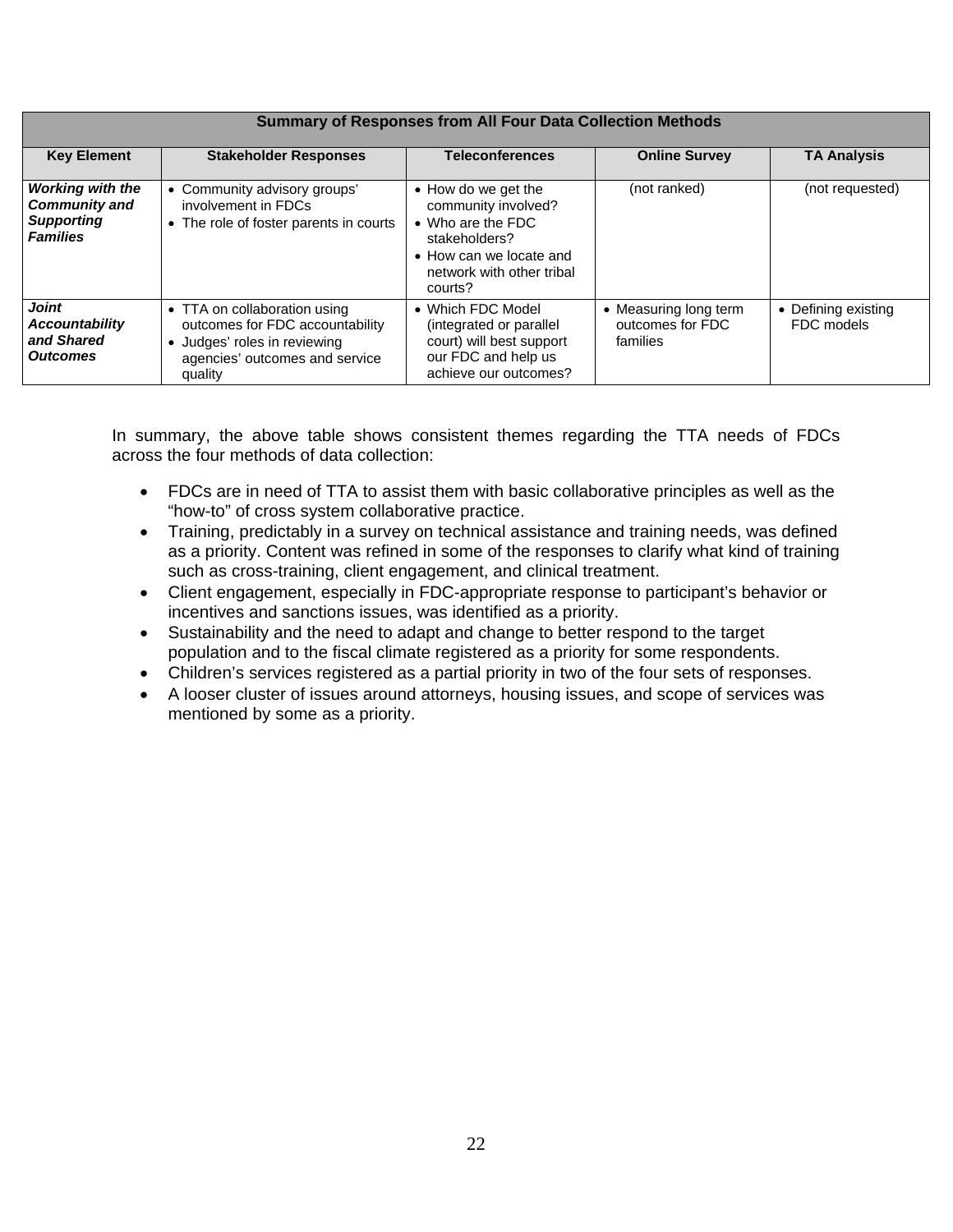| <b>Summary of Responses from All Four Data Collection Methods</b>                       |                                                                                                                                            |                                                                                                                                                     |                                                       |                                   |
|-----------------------------------------------------------------------------------------|--------------------------------------------------------------------------------------------------------------------------------------------|-----------------------------------------------------------------------------------------------------------------------------------------------------|-------------------------------------------------------|-----------------------------------|
| <b>Key Element</b>                                                                      | <b>Stakeholder Responses</b>                                                                                                               | <b>Teleconferences</b>                                                                                                                              | <b>Online Survey</b>                                  | <b>TA Analysis</b>                |
| <b>Working with the</b><br><b>Community and</b><br><b>Supporting</b><br><b>Families</b> | • Community advisory groups'<br>involvement in FDCs<br>• The role of foster parents in courts                                              | • How do we get the<br>community involved?<br>• Who are the FDC<br>stakeholders?<br>• How can we locate and<br>network with other tribal<br>courts? | (not ranked)                                          | (not requested)                   |
| Joint<br><b>Accountability</b><br>and Shared<br>Outcomes                                | • TTA on collaboration using<br>outcomes for FDC accountability<br>Judges' roles in reviewing<br>agencies' outcomes and service<br>quality | • Which FDC Model<br>(integrated or parallel<br>court) will best support<br>our FDC and help us<br>achieve our outcomes?                            | • Measuring long term<br>outcomes for FDC<br>families | • Defining existing<br>FDC models |

In summary, the above table shows consistent themes regarding the TTA needs of FDCs across the four methods of data collection:

- FDCs are in need of TTA to assist them with basic collaborative principles as well as the "how-to" of cross system collaborative practice.
- Training, predictably in a survey on technical assistance and training needs, was defined as a priority. Content was refined in some of the responses to clarify what kind of training such as cross-training, client engagement, and clinical treatment.
- Client engagement, especially in FDC-appropriate response to participant's behavior or incentives and sanctions issues, was identified as a priority.
- Sustainability and the need to adapt and change to better respond to the target population and to the fiscal climate registered as a priority for some respondents.
- Children's services registered as a partial priority in two of the four sets of responses.
- A looser cluster of issues around attorneys, housing issues, and scope of services was mentioned by some as a priority.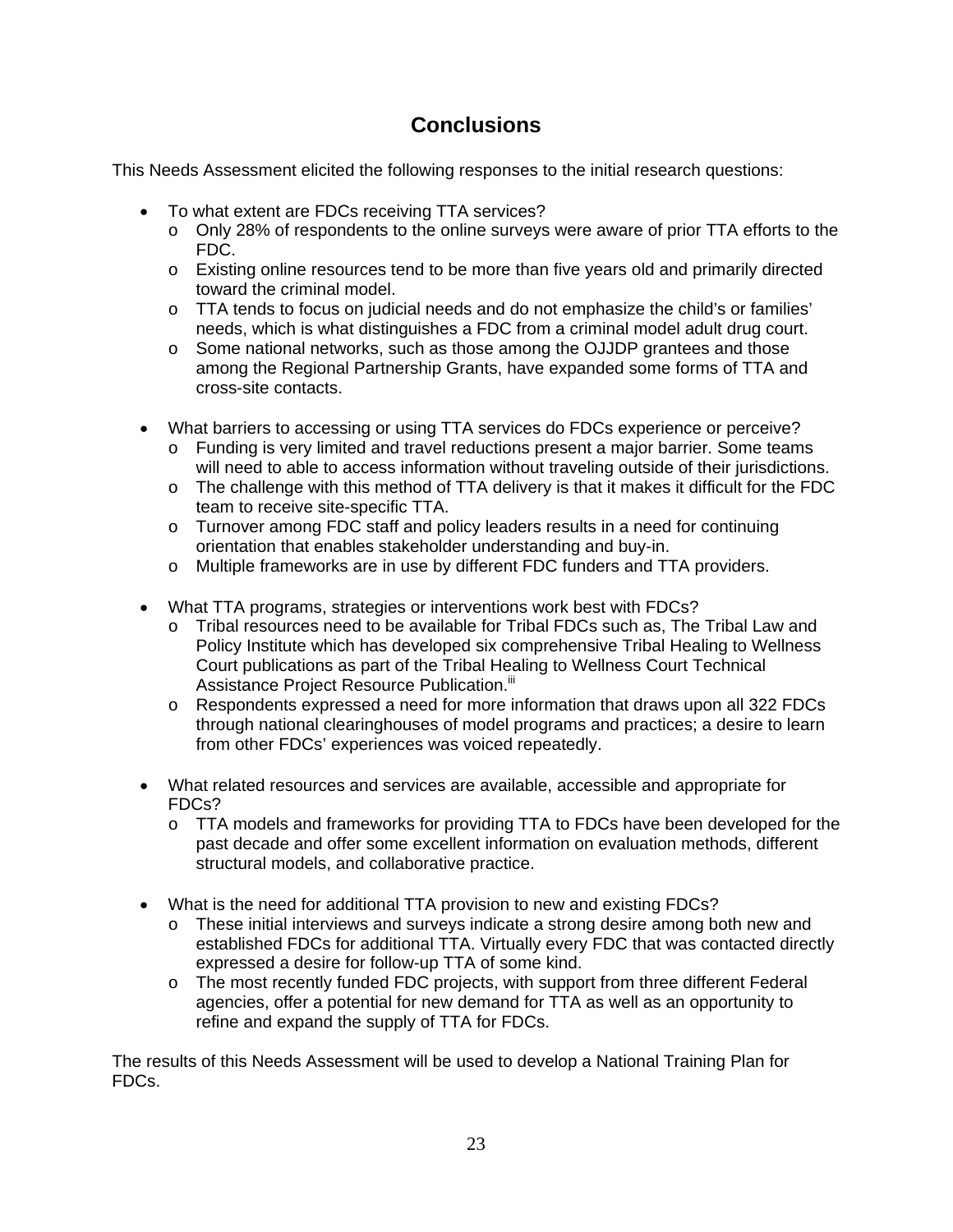### **Conclusions**

This Needs Assessment elicited the following responses to the initial research questions:

- To what extent are FDCs receiving TTA services?
	- o Only 28% of respondents to the online surveys were aware of prior TTA efforts to the FDC.
	- o Existing online resources tend to be more than five years old and primarily directed toward the criminal model.
	- o TTA tends to focus on judicial needs and do not emphasize the child's or families' needs, which is what distinguishes a FDC from a criminal model adult drug court.
	- o Some national networks, such as those among the OJJDP grantees and those among the Regional Partnership Grants, have expanded some forms of TTA and cross-site contacts.
- What barriers to accessing or using TTA services do FDCs experience or perceive?
	- o Funding is very limited and travel reductions present a major barrier. Some teams will need to able to access information without traveling outside of their jurisdictions.
	- o The challenge with this method of TTA delivery is that it makes it difficult for the FDC team to receive site-specific TTA.
	- o Turnover among FDC staff and policy leaders results in a need for continuing orientation that enables stakeholder understanding and buy-in.
	- o Multiple frameworks are in use by different FDC funders and TTA providers.
- What TTA programs, strategies or interventions work best with FDCs?
	- o Tribal resources need to be available for Tribal FDCs such as, The Tribal Law and Policy Institute which has developed six comprehensive Tribal Healing to Wellness Court publications as part of the Tribal Healing to Wellness Court Technical Assistance Project Resource Publication.<sup>iii</sup>
	- $\circ$  Respondents expressed a need for more information that draws upon all 322 FDCs through national clearinghouses of model programs and practices; a desire to learn from other FDCs' experiences was voiced repeatedly.
- What related resources and services are available, accessible and appropriate for FDCs?
	- o TTA models and frameworks for providing TTA to FDCs have been developed for the past decade and offer some excellent information on evaluation methods, different structural models, and collaborative practice.
- What is the need for additional TTA provision to new and existing FDCs?
	- o These initial interviews and surveys indicate a strong desire among both new and established FDCs for additional TTA. Virtually every FDC that was contacted directly expressed a desire for follow-up TTA of some kind.
	- $\circ$  The most recently funded FDC projects, with support from three different Federal agencies, offer a potential for new demand for TTA as well as an opportunity to refine and expand the supply of TTA for FDCs.

The results of this Needs Assessment will be used to develop a National Training Plan for FDCs.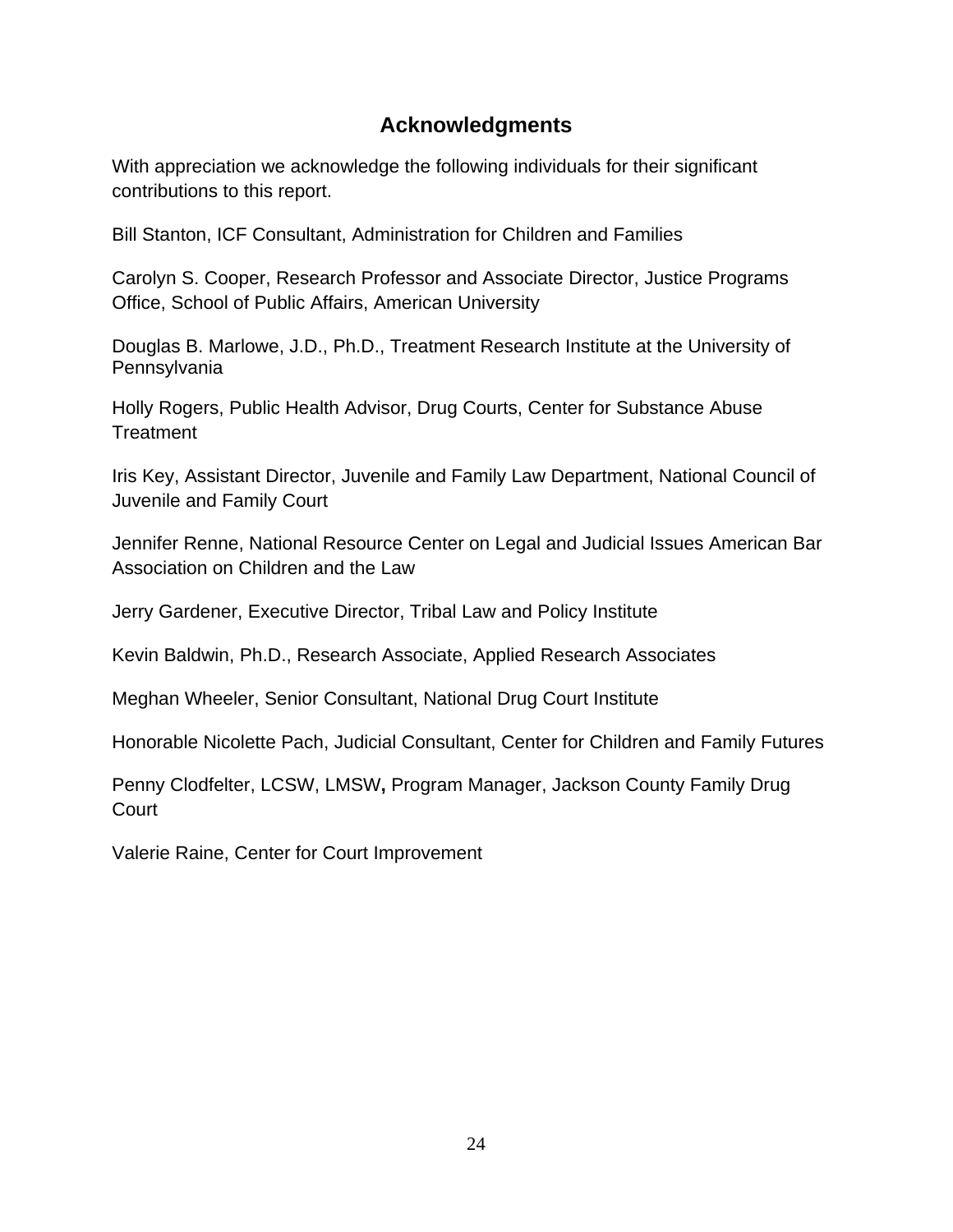### **Acknowledgments**

With appreciation we acknowledge the following individuals for their significant contributions to this report.

Bill Stanton, ICF Consultant, Administration for Children and Families

Carolyn S. Cooper, Research Professor and Associate Director, Justice Programs Office, School of Public Affairs, American University

Douglas B. Marlowe, J.D., Ph.D., Treatment Research Institute at the University of Pennsylvania

Holly Rogers, Public Health Advisor, Drug Courts, Center for Substance Abuse **Treatment** 

Iris Key, Assistant Director, Juvenile and Family Law Department, National Council of Juvenile and Family Court

Jennifer Renne, National Resource Center on Legal and Judicial Issues American Bar Association on Children and the Law

Jerry Gardener, Executive Director, Tribal Law and Policy Institute

Kevin Baldwin, Ph.D., Research Associate, Applied Research Associates

Meghan Wheeler, Senior Consultant, National Drug Court Institute

Honorable Nicolette Pach, Judicial Consultant, Center for Children and Family Futures

Penny Clodfelter, LCSW, LMSW**,** Program Manager, Jackson County Family Drug **Court** 

Valerie Raine, Center for Court Improvement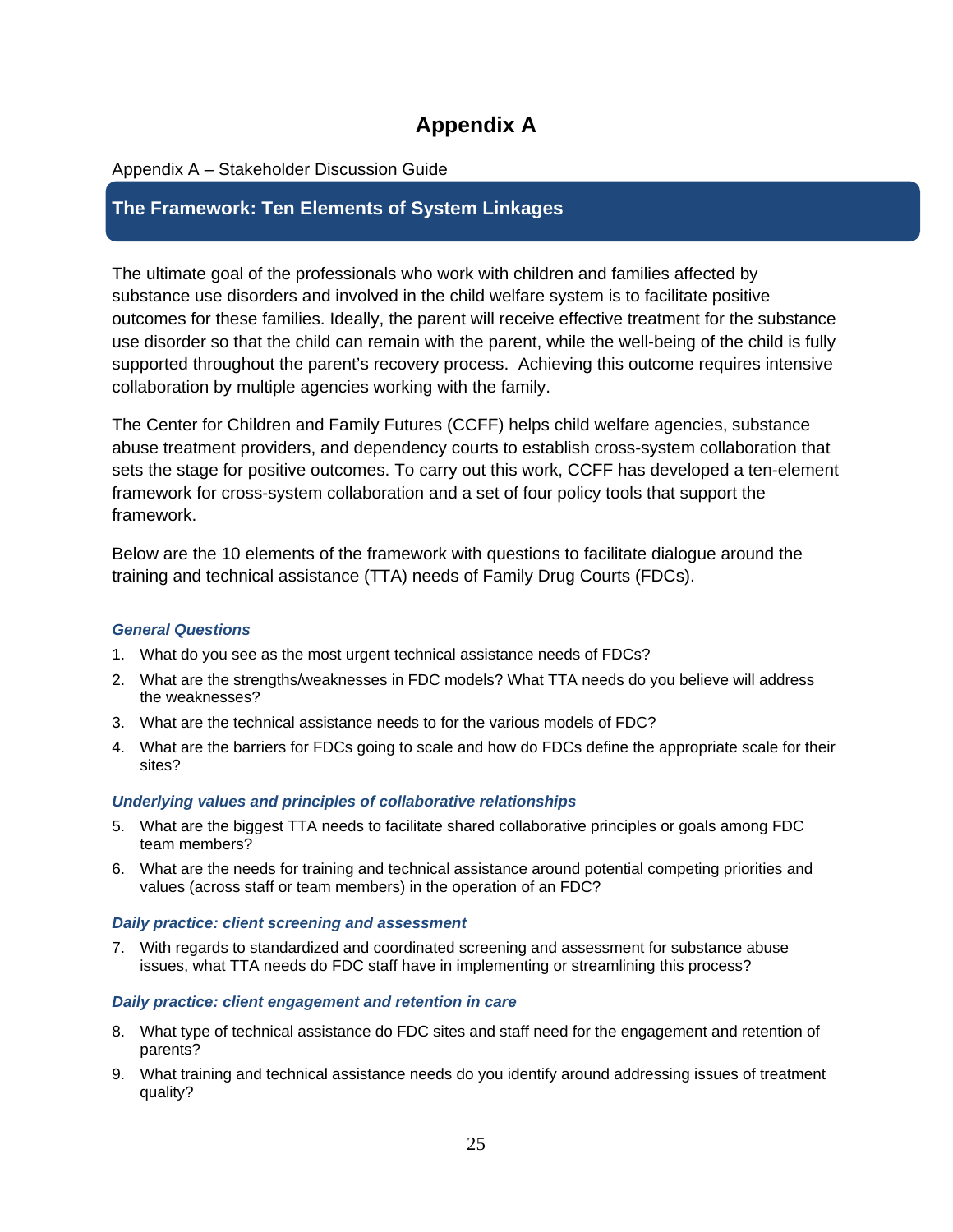### **Appendix A**

### Appendix A – Stakeholder Discussion Guide

### **The Framework: Ten Elements of System Linkages**

The ultimate goal of the professionals who work with children and families affected by substance use disorders and involved in the child welfare system is to facilitate positive outcomes for these families. Ideally, the parent will receive effective treatment for the substance use disorder so that the child can remain with the parent, while the well-being of the child is fully supported throughout the parent's recovery process. Achieving this outcome requires intensive collaboration by multiple agencies working with the family.

The Center for Children and Family Futures (CCFF) helps child welfare agencies, substance abuse treatment providers, and dependency courts to establish cross-system collaboration that sets the stage for positive outcomes. To carry out this work, CCFF has developed a ten-element framework for cross-system collaboration and a set of four policy tools that support the framework.

Below are the 10 elements of the framework with questions to facilitate dialogue around the training and technical assistance (TTA) needs of Family Drug Courts (FDCs).

### *General Questions*

- 1. What do you see as the most urgent technical assistance needs of FDCs?
- 2. What are the strengths/weaknesses in FDC models? What TTA needs do you believe will address the weaknesses?
- 3. What are the technical assistance needs to for the various models of FDC?
- 4. What are the barriers for FDCs going to scale and how do FDCs define the appropriate scale for their sites?

#### *Underlying values and principles of collaborative relationships*

- 5. What are the biggest TTA needs to facilitate shared collaborative principles or goals among FDC team members?
- 6. What are the needs for training and technical assistance around potential competing priorities and values (across staff or team members) in the operation of an FDC?

#### *Daily practice: client screening and assessment*

7. With regards to standardized and coordinated screening and assessment for substance abuse issues, what TTA needs do FDC staff have in implementing or streamlining this process?

#### *Daily practice: client engagement and retention in care*

- 8. What type of technical assistance do FDC sites and staff need for the engagement and retention of parents?
- 9. What training and technical assistance needs do you identify around addressing issues of treatment quality?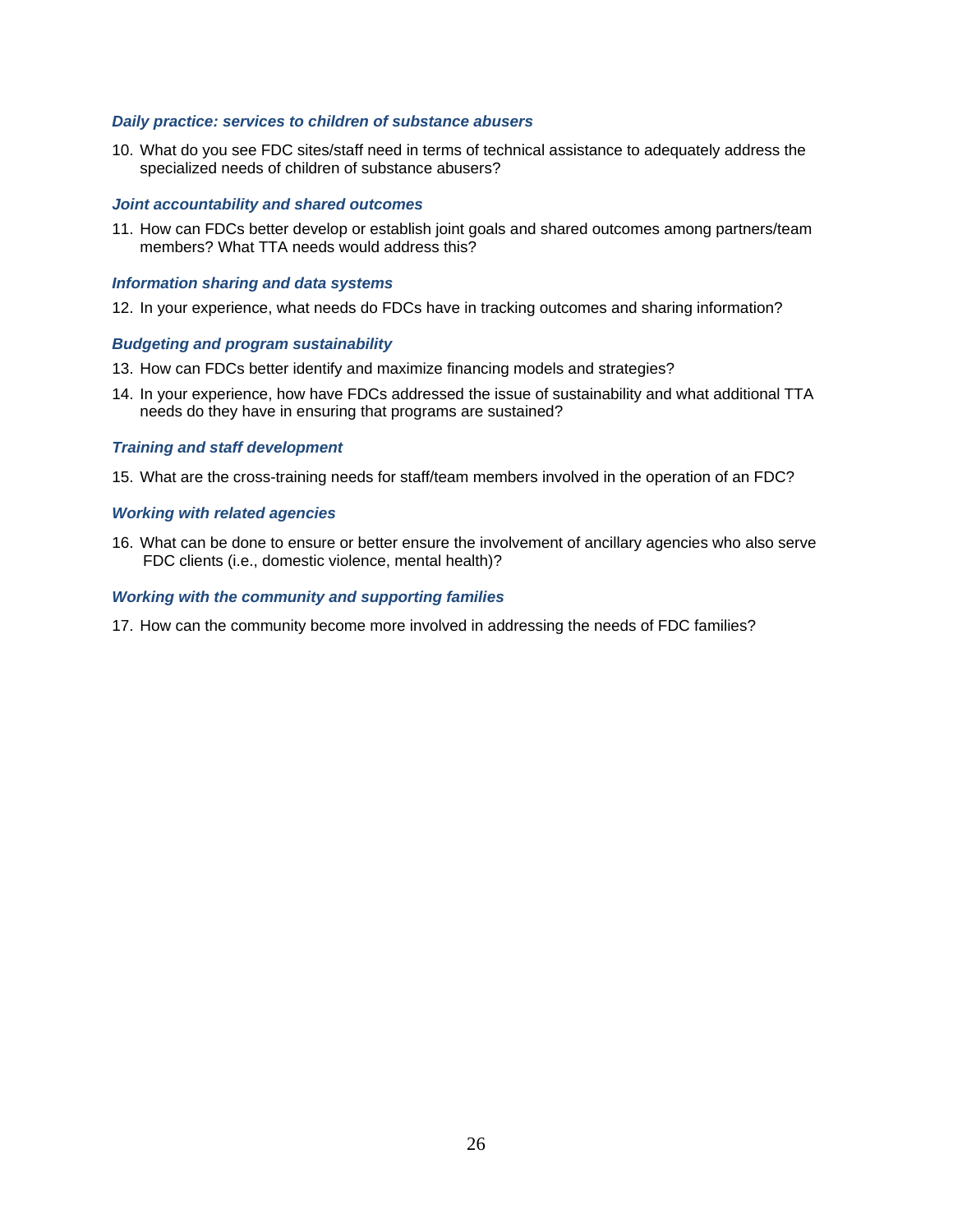#### *Daily practice: services to children of substance abusers*

10. What do you see FDC sites/staff need in terms of technical assistance to adequately address the specialized needs of children of substance abusers?

#### *Joint accountability and shared outcomes*

11. How can FDCs better develop or establish joint goals and shared outcomes among partners/team members? What TTA needs would address this?

#### *Information sharing and data systems*

12. In your experience, what needs do FDCs have in tracking outcomes and sharing information?

#### *Budgeting and program sustainability*

- 13. How can FDCs better identify and maximize financing models and strategies?
- 14. In your experience, how have FDCs addressed the issue of sustainability and what additional TTA needs do they have in ensuring that programs are sustained?

#### *Training and staff development*

15. What are the cross-training needs for staff/team members involved in the operation of an FDC?

#### *Working with related agencies*

16. What can be done to ensure or better ensure the involvement of ancillary agencies who also serve FDC clients (i.e., domestic violence, mental health)?

#### *Working with the community and supporting families*

17. How can the community become more involved in addressing the needs of FDC families?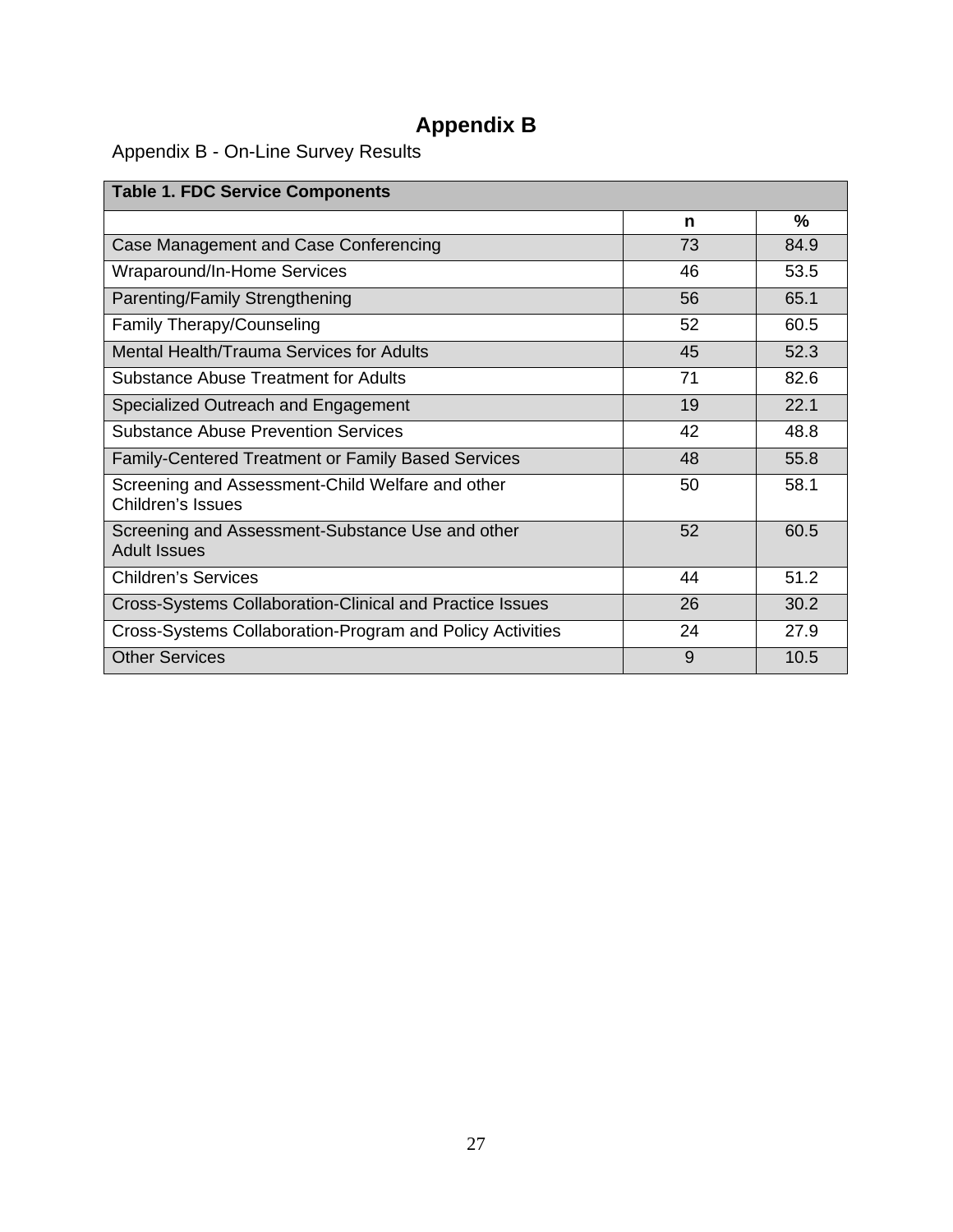# **Appendix B**

Appendix B - On-Line Survey Results

| <b>Table 1. FDC Service Components</b>                                  |    |      |
|-------------------------------------------------------------------------|----|------|
|                                                                         | n  | ℅    |
| Case Management and Case Conferencing                                   | 73 | 84.9 |
| Wraparound/In-Home Services                                             | 46 | 53.5 |
| Parenting/Family Strengthening                                          | 56 | 65.1 |
| Family Therapy/Counseling                                               | 52 | 60.5 |
| Mental Health/Trauma Services for Adults                                | 45 | 52.3 |
| Substance Abuse Treatment for Adults                                    | 71 | 82.6 |
| Specialized Outreach and Engagement                                     | 19 | 22.1 |
| <b>Substance Abuse Prevention Services</b>                              | 42 | 48.8 |
| <b>Family-Centered Treatment or Family Based Services</b>               | 48 | 55.8 |
| Screening and Assessment-Child Welfare and other<br>Children's Issues   | 50 | 58.1 |
| Screening and Assessment-Substance Use and other<br><b>Adult Issues</b> | 52 | 60.5 |
| <b>Children's Services</b>                                              | 44 | 51.2 |
| Cross-Systems Collaboration-Clinical and Practice Issues                | 26 | 30.2 |
| Cross-Systems Collaboration-Program and Policy Activities               | 24 | 27.9 |
| <b>Other Services</b>                                                   | 9  | 10.5 |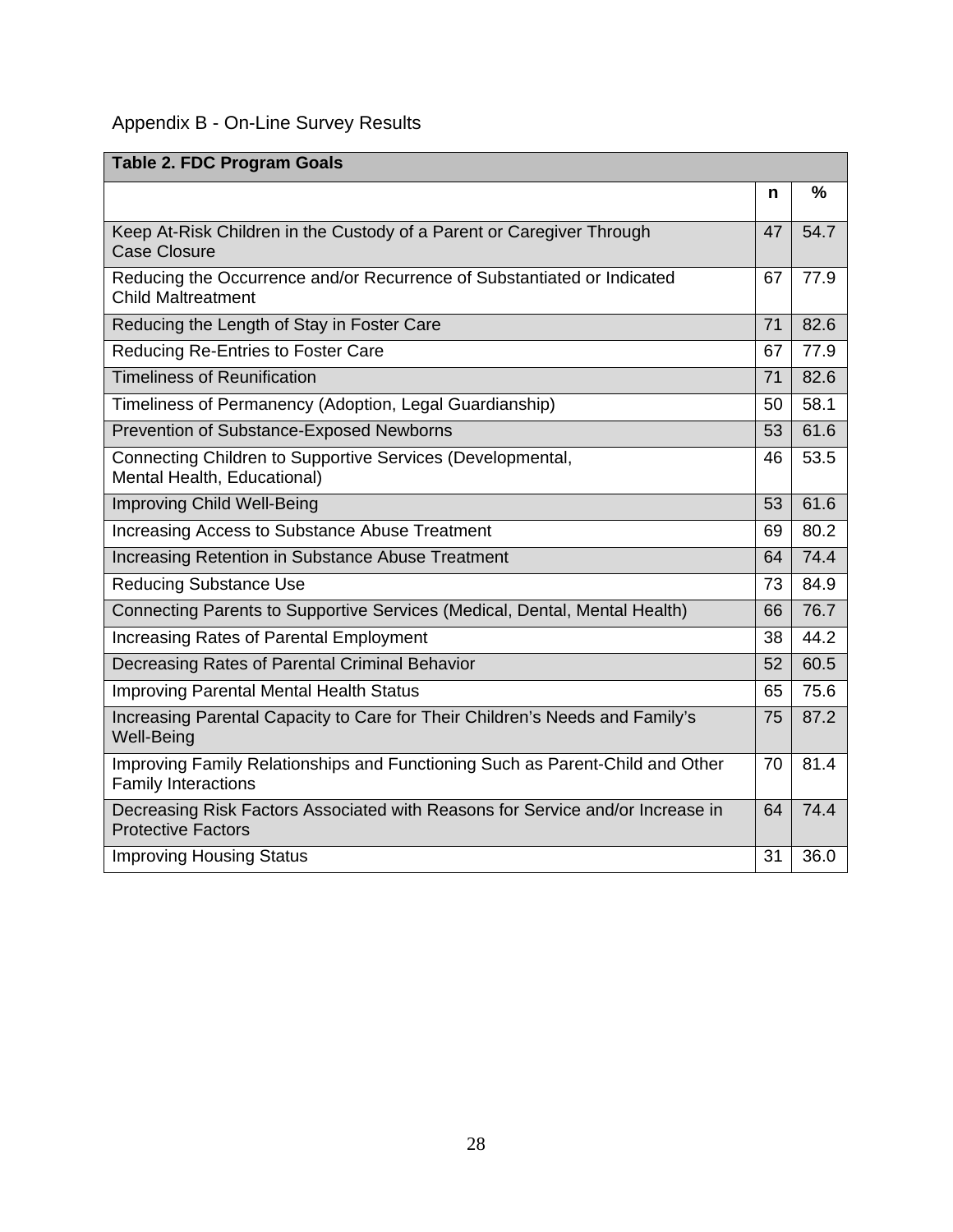### Appendix B - On-Line Survey Results

| <b>Table 2. FDC Program Goals</b>                                                                           |    |      |
|-------------------------------------------------------------------------------------------------------------|----|------|
|                                                                                                             | n  | %    |
| Keep At-Risk Children in the Custody of a Parent or Caregiver Through<br><b>Case Closure</b>                | 47 | 54.7 |
| Reducing the Occurrence and/or Recurrence of Substantiated or Indicated<br><b>Child Maltreatment</b>        | 67 | 77.9 |
| Reducing the Length of Stay in Foster Care                                                                  | 71 | 82.6 |
| Reducing Re-Entries to Foster Care                                                                          | 67 | 77.9 |
| <b>Timeliness of Reunification</b>                                                                          | 71 | 82.6 |
| Timeliness of Permanency (Adoption, Legal Guardianship)                                                     | 50 | 58.1 |
| Prevention of Substance-Exposed Newborns                                                                    | 53 | 61.6 |
| Connecting Children to Supportive Services (Developmental,<br>Mental Health, Educational)                   | 46 | 53.5 |
| <b>Improving Child Well-Being</b>                                                                           | 53 | 61.6 |
| Increasing Access to Substance Abuse Treatment                                                              | 69 | 80.2 |
| Increasing Retention in Substance Abuse Treatment                                                           | 64 | 74.4 |
| <b>Reducing Substance Use</b>                                                                               | 73 | 84.9 |
| Connecting Parents to Supportive Services (Medical, Dental, Mental Health)                                  | 66 | 76.7 |
| Increasing Rates of Parental Employment                                                                     | 38 | 44.2 |
| Decreasing Rates of Parental Criminal Behavior                                                              | 52 | 60.5 |
| <b>Improving Parental Mental Health Status</b>                                                              | 65 | 75.6 |
| Increasing Parental Capacity to Care for Their Children's Needs and Family's<br><b>Well-Being</b>           | 75 | 87.2 |
| Improving Family Relationships and Functioning Such as Parent-Child and Other<br><b>Family Interactions</b> | 70 | 81.4 |
| Decreasing Risk Factors Associated with Reasons for Service and/or Increase in<br><b>Protective Factors</b> | 64 | 74.4 |
| <b>Improving Housing Status</b>                                                                             | 31 | 36.0 |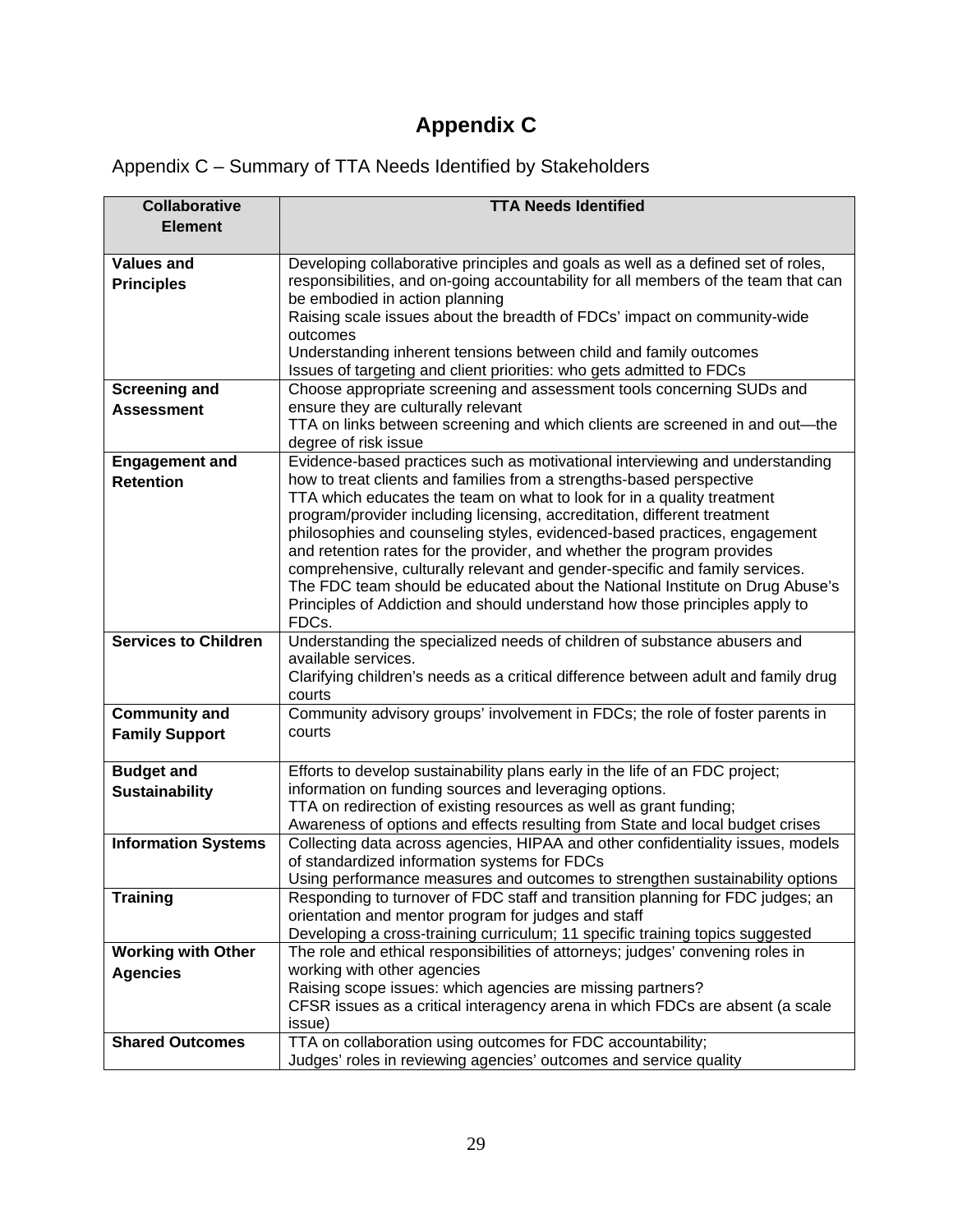# **Appendix C**

| Appendix C - Summary of TTA Needs Identified by Stakeholders |
|--------------------------------------------------------------|
|--------------------------------------------------------------|

| <b>Collaborative</b>        | <b>TTA Needs Identified</b>                                                                                                                                 |
|-----------------------------|-------------------------------------------------------------------------------------------------------------------------------------------------------------|
| <b>Element</b>              |                                                                                                                                                             |
|                             |                                                                                                                                                             |
| <b>Values and</b>           | Developing collaborative principles and goals as well as a defined set of roles,                                                                            |
| <b>Principles</b>           | responsibilities, and on-going accountability for all members of the team that can                                                                          |
|                             | be embodied in action planning                                                                                                                              |
|                             | Raising scale issues about the breadth of FDCs' impact on community-wide                                                                                    |
|                             | outcomes<br>Understanding inherent tensions between child and family outcomes                                                                               |
|                             | Issues of targeting and client priorities: who gets admitted to FDCs                                                                                        |
| <b>Screening and</b>        | Choose appropriate screening and assessment tools concerning SUDs and                                                                                       |
| <b>Assessment</b>           | ensure they are culturally relevant                                                                                                                         |
|                             | TTA on links between screening and which clients are screened in and out-the                                                                                |
|                             | degree of risk issue                                                                                                                                        |
| <b>Engagement and</b>       | Evidence-based practices such as motivational interviewing and understanding                                                                                |
| <b>Retention</b>            | how to treat clients and families from a strengths-based perspective                                                                                        |
|                             | TTA which educates the team on what to look for in a quality treatment                                                                                      |
|                             | program/provider including licensing, accreditation, different treatment                                                                                    |
|                             | philosophies and counseling styles, evidenced-based practices, engagement                                                                                   |
|                             | and retention rates for the provider, and whether the program provides                                                                                      |
|                             | comprehensive, culturally relevant and gender-specific and family services.<br>The FDC team should be educated about the National Institute on Drug Abuse's |
|                             | Principles of Addiction and should understand how those principles apply to                                                                                 |
|                             | FDCs.                                                                                                                                                       |
| <b>Services to Children</b> | Understanding the specialized needs of children of substance abusers and                                                                                    |
|                             | available services.                                                                                                                                         |
|                             | Clarifying children's needs as a critical difference between adult and family drug                                                                          |
|                             | courts                                                                                                                                                      |
| <b>Community and</b>        | Community advisory groups' involvement in FDCs; the role of foster parents in                                                                               |
| <b>Family Support</b>       | courts                                                                                                                                                      |
|                             |                                                                                                                                                             |
| <b>Budget and</b>           | Efforts to develop sustainability plans early in the life of an FDC project;                                                                                |
| <b>Sustainability</b>       | information on funding sources and leveraging options.                                                                                                      |
|                             | TTA on redirection of existing resources as well as grant funding;<br>Awareness of options and effects resulting from State and local budget crises         |
| <b>Information Systems</b>  | Collecting data across agencies, HIPAA and other confidentiality issues, models                                                                             |
|                             | of standardized information systems for FDCs                                                                                                                |
|                             | Using performance measures and outcomes to strengthen sustainability options                                                                                |
| <b>Training</b>             | Responding to turnover of FDC staff and transition planning for FDC judges; an                                                                              |
|                             | orientation and mentor program for judges and staff                                                                                                         |
|                             | Developing a cross-training curriculum; 11 specific training topics suggested                                                                               |
| <b>Working with Other</b>   | The role and ethical responsibilities of attorneys; judges' convening roles in                                                                              |
| <b>Agencies</b>             | working with other agencies                                                                                                                                 |
|                             | Raising scope issues: which agencies are missing partners?                                                                                                  |
|                             | CFSR issues as a critical interagency arena in which FDCs are absent (a scale                                                                               |
|                             | issue)                                                                                                                                                      |
| <b>Shared Outcomes</b>      | TTA on collaboration using outcomes for FDC accountability;                                                                                                 |
|                             | Judges' roles in reviewing agencies' outcomes and service quality                                                                                           |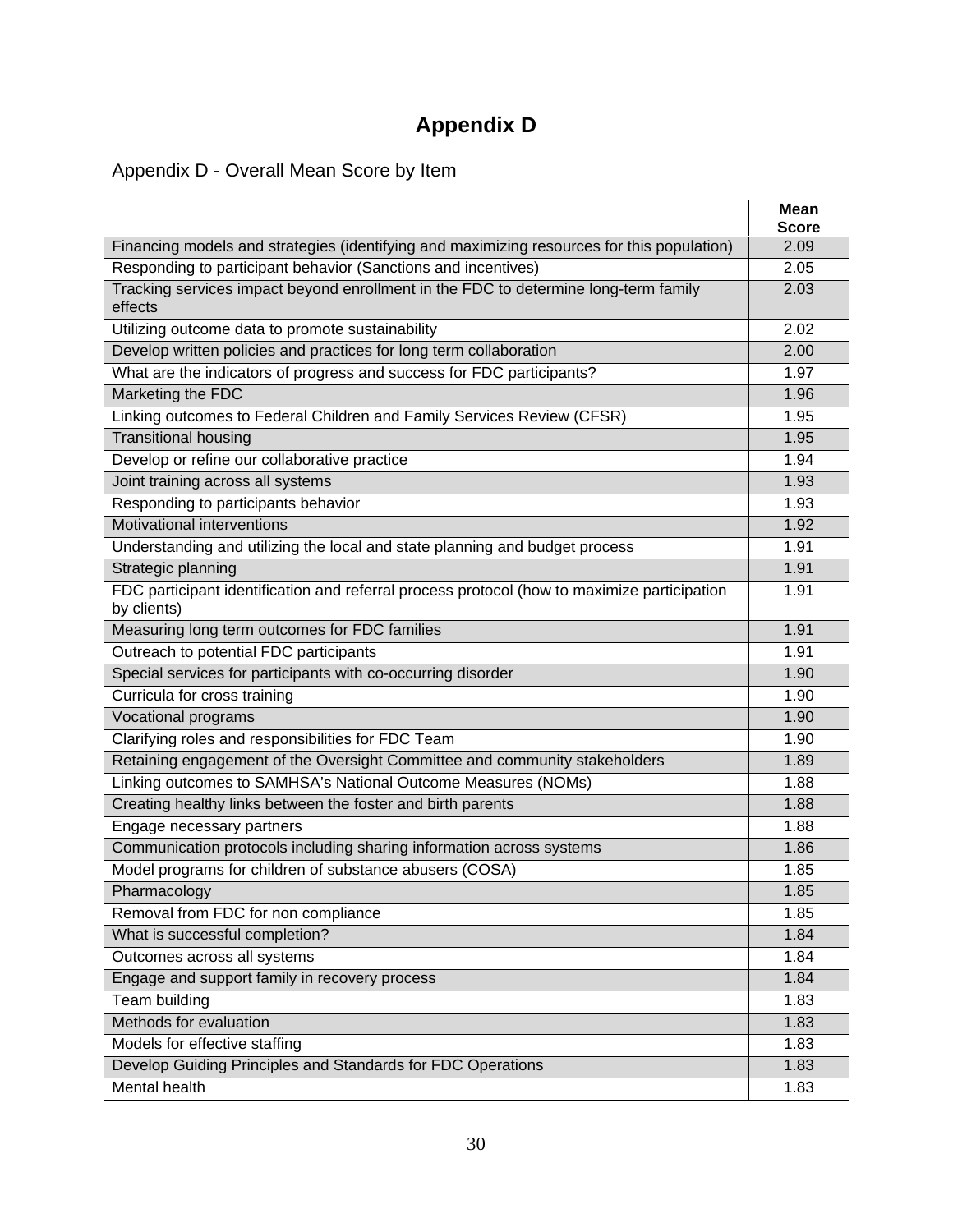# **Appendix D**

Appendix D - Overall Mean Score by Item

|                                                                                                            | <b>Mean</b>  |
|------------------------------------------------------------------------------------------------------------|--------------|
|                                                                                                            | <b>Score</b> |
| Financing models and strategies (identifying and maximizing resources for this population)                 | 2.09         |
| Responding to participant behavior (Sanctions and incentives)                                              | 2.05         |
| Tracking services impact beyond enrollment in the FDC to determine long-term family<br>effects             | 2.03         |
| Utilizing outcome data to promote sustainability                                                           | 2.02         |
| Develop written policies and practices for long term collaboration                                         | 2.00         |
| What are the indicators of progress and success for FDC participants?                                      | 1.97         |
| Marketing the FDC                                                                                          | 1.96         |
| Linking outcomes to Federal Children and Family Services Review (CFSR)                                     | 1.95         |
| <b>Transitional housing</b>                                                                                | 1.95         |
| Develop or refine our collaborative practice                                                               | 1.94         |
| Joint training across all systems                                                                          | 1.93         |
| Responding to participants behavior                                                                        | 1.93         |
| Motivational interventions                                                                                 | 1.92         |
| Understanding and utilizing the local and state planning and budget process                                | 1.91         |
| Strategic planning                                                                                         | 1.91         |
| FDC participant identification and referral process protocol (how to maximize participation<br>by clients) | 1.91         |
| Measuring long term outcomes for FDC families                                                              | 1.91         |
| Outreach to potential FDC participants                                                                     | 1.91         |
| Special services for participants with co-occurring disorder                                               | 1.90         |
| Curricula for cross training                                                                               | 1.90         |
| Vocational programs                                                                                        | 1.90         |
| Clarifying roles and responsibilities for FDC Team                                                         | 1.90         |
| Retaining engagement of the Oversight Committee and community stakeholders                                 | 1.89         |
| Linking outcomes to SAMHSA's National Outcome Measures (NOMs)                                              | 1.88         |
| Creating healthy links between the foster and birth parents                                                | 1.88         |
| Engage necessary partners                                                                                  | 1.88         |
| Communication protocols including sharing information across systems                                       | 1.86         |
| Model programs for children of substance abusers (COSA)                                                    | 1.85         |
| Pharmacology                                                                                               | 1.85         |
| Removal from FDC for non compliance                                                                        | 1.85         |
| What is successful completion?                                                                             | 1.84         |
| Outcomes across all systems                                                                                | 1.84         |
| Engage and support family in recovery process                                                              | 1.84         |
| Team building                                                                                              | 1.83         |
| Methods for evaluation                                                                                     | 1.83         |
| Models for effective staffing                                                                              | 1.83         |
| Develop Guiding Principles and Standards for FDC Operations                                                | 1.83         |
| Mental health                                                                                              | 1.83         |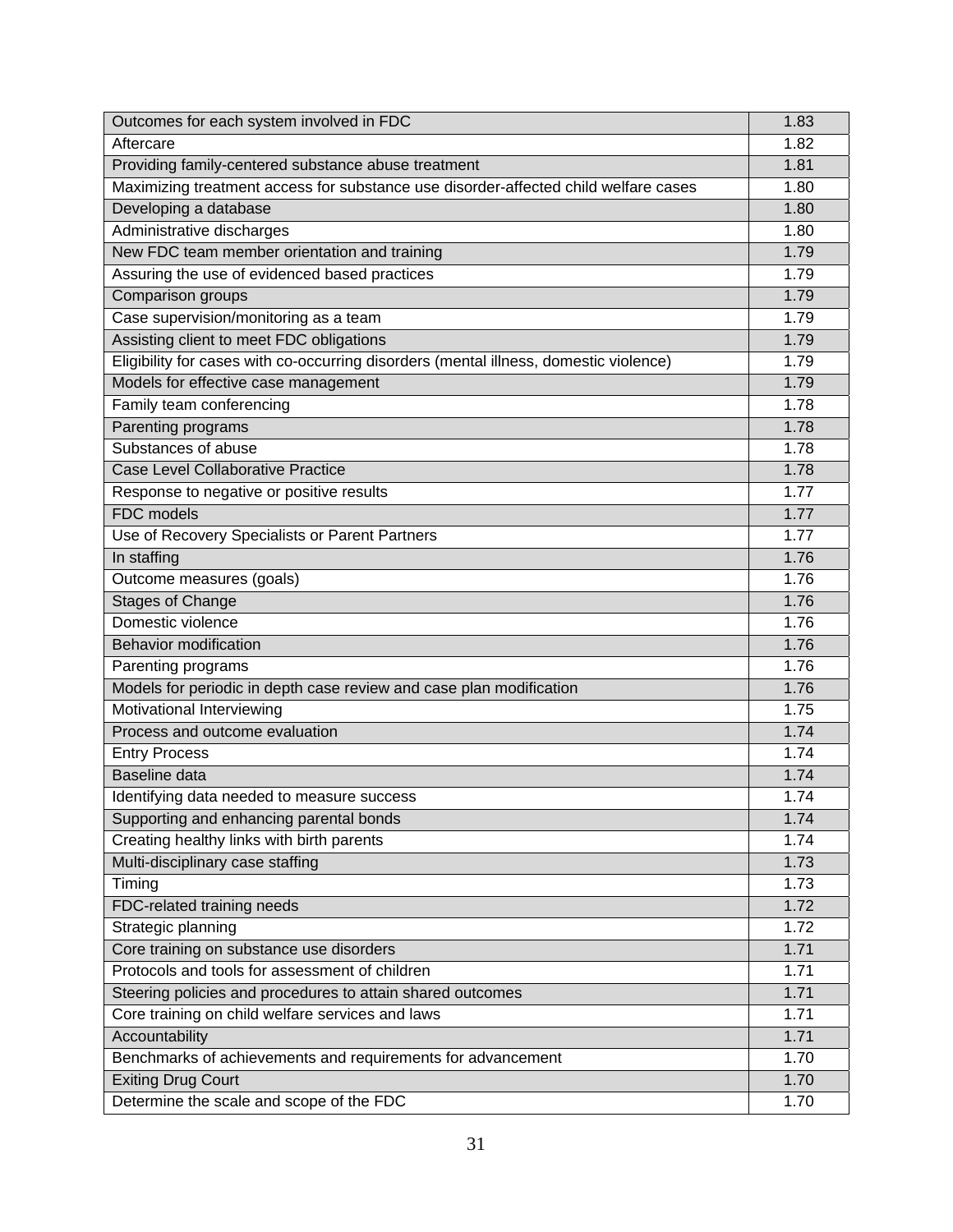| Outcomes for each system involved in FDC                                              | 1.83 |
|---------------------------------------------------------------------------------------|------|
| Aftercare                                                                             | 1.82 |
| Providing family-centered substance abuse treatment                                   | 1.81 |
| Maximizing treatment access for substance use disorder-affected child welfare cases   | 1.80 |
| Developing a database                                                                 | 1.80 |
| Administrative discharges                                                             | 1.80 |
| New FDC team member orientation and training                                          | 1.79 |
| Assuring the use of evidenced based practices                                         | 1.79 |
| Comparison groups                                                                     | 1.79 |
| Case supervision/monitoring as a team                                                 | 1.79 |
| Assisting client to meet FDC obligations                                              | 1.79 |
| Eligibility for cases with co-occurring disorders (mental illness, domestic violence) | 1.79 |
| Models for effective case management                                                  | 1.79 |
| Family team conferencing                                                              | 1.78 |
| Parenting programs                                                                    | 1.78 |
| Substances of abuse                                                                   | 1.78 |
| <b>Case Level Collaborative Practice</b>                                              | 1.78 |
| Response to negative or positive results                                              | 1.77 |
| <b>FDC</b> models                                                                     | 1.77 |
| Use of Recovery Specialists or Parent Partners                                        | 1.77 |
| In staffing                                                                           | 1.76 |
| Outcome measures (goals)                                                              | 1.76 |
| <b>Stages of Change</b>                                                               | 1.76 |
| Domestic violence                                                                     | 1.76 |
| <b>Behavior modification</b>                                                          | 1.76 |
| Parenting programs                                                                    | 1.76 |
| Models for periodic in depth case review and case plan modification                   | 1.76 |
| Motivational Interviewing                                                             | 1.75 |
| Process and outcome evaluation                                                        | 1.74 |
| <b>Entry Process</b>                                                                  | 1.74 |
| Baseline data                                                                         | 1.74 |
| Identifying data needed to measure success                                            | 1.74 |
| Supporting and enhancing parental bonds                                               | 1.74 |
| Creating healthy links with birth parents                                             | 1.74 |
| Multi-disciplinary case staffing                                                      | 1.73 |
| Timing                                                                                | 1.73 |
| FDC-related training needs                                                            | 1.72 |
| Strategic planning                                                                    | 1.72 |
| Core training on substance use disorders                                              | 1.71 |
| Protocols and tools for assessment of children                                        | 1.71 |
| Steering policies and procedures to attain shared outcomes                            | 1.71 |
| Core training on child welfare services and laws                                      | 1.71 |
| Accountability                                                                        | 1.71 |
| Benchmarks of achievements and requirements for advancement                           | 1.70 |
| <b>Exiting Drug Court</b>                                                             | 1.70 |
| Determine the scale and scope of the FDC                                              | 1.70 |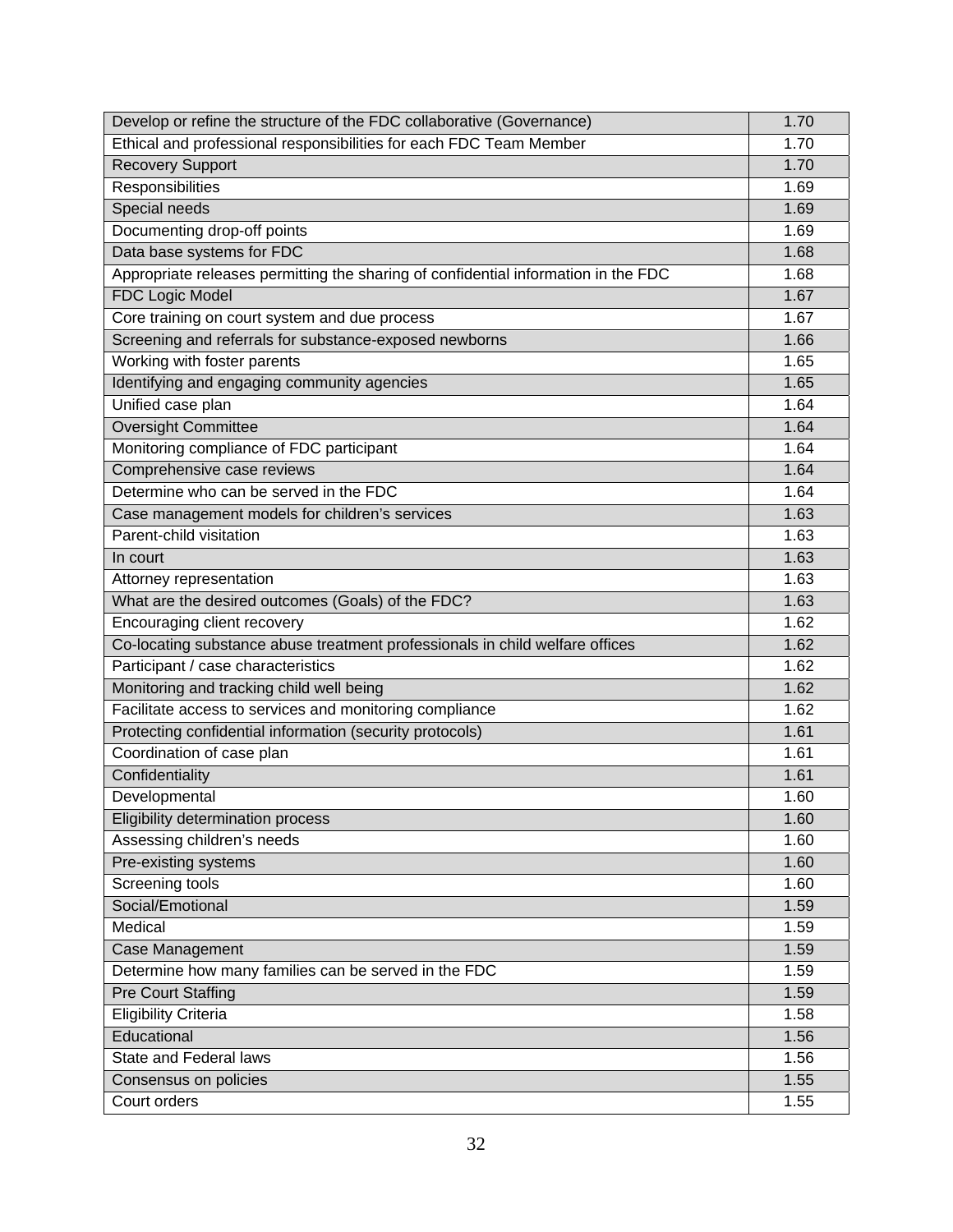| Develop or refine the structure of the FDC collaborative (Governance)              | 1.70 |
|------------------------------------------------------------------------------------|------|
| Ethical and professional responsibilities for each FDC Team Member                 | 1.70 |
| <b>Recovery Support</b>                                                            | 1.70 |
| Responsibilities                                                                   | 1.69 |
| Special needs                                                                      | 1.69 |
| Documenting drop-off points                                                        | 1.69 |
| Data base systems for FDC                                                          | 1.68 |
| Appropriate releases permitting the sharing of confidential information in the FDC | 1.68 |
| <b>FDC Logic Model</b>                                                             | 1.67 |
| Core training on court system and due process                                      | 1.67 |
| Screening and referrals for substance-exposed newborns                             | 1.66 |
| Working with foster parents                                                        | 1.65 |
| Identifying and engaging community agencies                                        | 1.65 |
| Unified case plan                                                                  | 1.64 |
| <b>Oversight Committee</b>                                                         | 1.64 |
| Monitoring compliance of FDC participant                                           | 1.64 |
| Comprehensive case reviews                                                         | 1.64 |
| Determine who can be served in the FDC                                             | 1.64 |
| Case management models for children's services                                     | 1.63 |
| Parent-child visitation                                                            | 1.63 |
| In court                                                                           | 1.63 |
| Attorney representation                                                            | 1.63 |
| What are the desired outcomes (Goals) of the FDC?                                  | 1.63 |
| Encouraging client recovery                                                        | 1.62 |
| Co-locating substance abuse treatment professionals in child welfare offices       | 1.62 |
| Participant / case characteristics                                                 | 1.62 |
| Monitoring and tracking child well being                                           | 1.62 |
| Facilitate access to services and monitoring compliance                            | 1.62 |
| Protecting confidential information (security protocols)                           | 1.61 |
| Coordination of case plan                                                          | 1.61 |
| Confidentiality                                                                    | 1.61 |
| Developmental                                                                      | 1.60 |
| Eligibility determination process                                                  | 1.60 |
| Assessing children's needs                                                         | 1.60 |
| Pre-existing systems                                                               | 1.60 |
| <b>Screening tools</b>                                                             | 1.60 |
| Social/Emotional                                                                   | 1.59 |
| Medical                                                                            | 1.59 |
| Case Management                                                                    | 1.59 |
| Determine how many families can be served in the FDC                               | 1.59 |
| <b>Pre Court Staffing</b>                                                          | 1.59 |
| <b>Eligibility Criteria</b>                                                        | 1.58 |
| Educational                                                                        | 1.56 |
| State and Federal laws                                                             | 1.56 |
| Consensus on policies                                                              | 1.55 |
| Court orders                                                                       | 1.55 |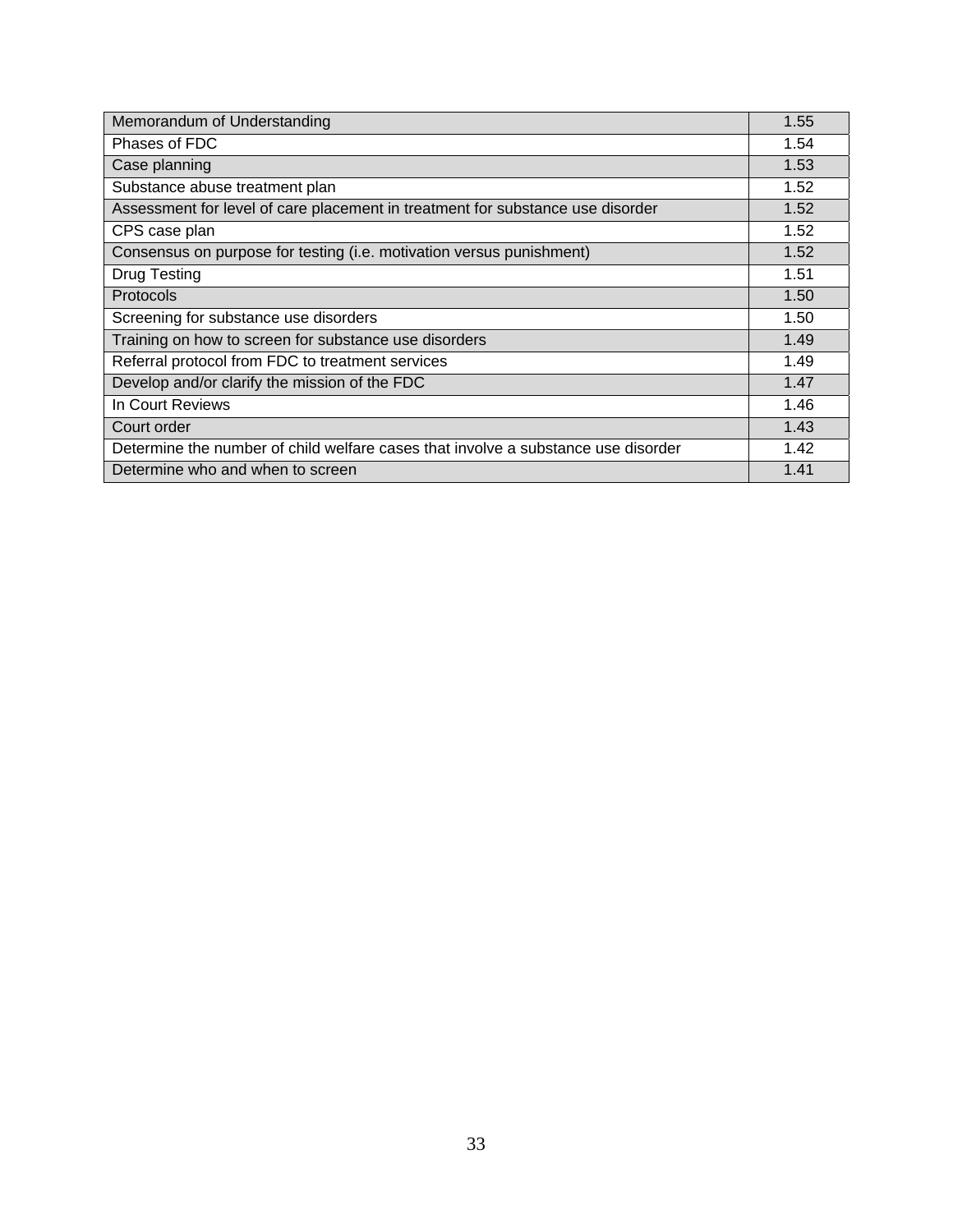| Memorandum of Understanding                                                       | 1.55 |
|-----------------------------------------------------------------------------------|------|
| Phases of FDC                                                                     | 1.54 |
| Case planning                                                                     | 1.53 |
| Substance abuse treatment plan                                                    | 1.52 |
| Assessment for level of care placement in treatment for substance use disorder    | 1.52 |
| CPS case plan                                                                     | 1.52 |
| Consensus on purpose for testing (i.e. motivation versus punishment)              | 1.52 |
| <b>Drug Testing</b>                                                               | 1.51 |
| <b>Protocols</b>                                                                  | 1.50 |
| Screening for substance use disorders                                             | 1.50 |
| Training on how to screen for substance use disorders                             | 1.49 |
| Referral protocol from FDC to treatment services                                  | 1.49 |
| Develop and/or clarify the mission of the FDC                                     | 1.47 |
| In Court Reviews                                                                  | 1.46 |
| Court order                                                                       | 1.43 |
| Determine the number of child welfare cases that involve a substance use disorder | 1.42 |
| Determine who and when to screen                                                  | 1.41 |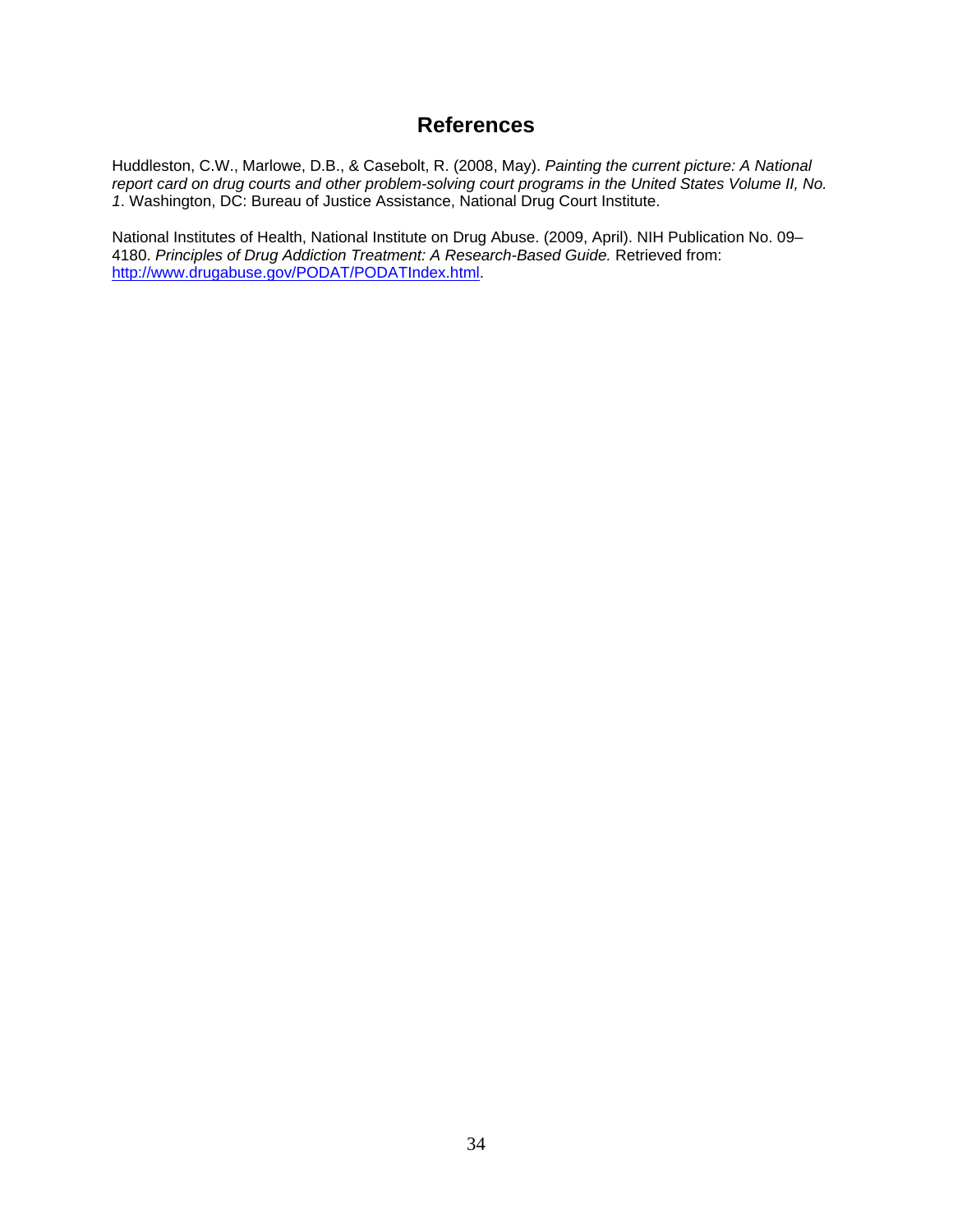### **References**

Huddleston, C.W., Marlowe, D.B., & Casebolt, R. (2008, May). *Painting the current picture: A National report card on drug courts and other problem-solving court programs in the United States Volume II, No. 1*. Washington, DC: Bureau of Justice Assistance, National Drug Court Institute.

National Institutes of Health, National Institute on Drug Abuse. (2009, April). NIH Publication No. 09– 4180. *Principles of Drug Addiction Treatment: A Research-Based Guide.* Retrieved from: http://www.drugabuse.gov/PODAT/PODATIndex.html.